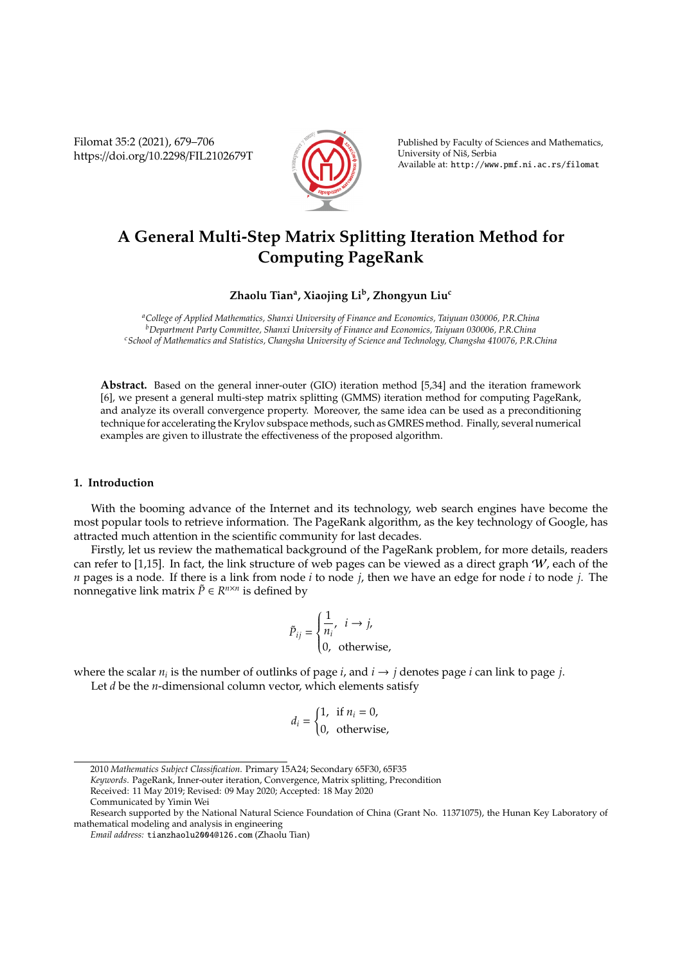Filomat 35:2 (2021), 679–706 https://doi.org/10.2298/FIL2102679T



Published by Faculty of Sciences and Mathematics, University of Nis, Serbia ˇ Available at: http://www.pmf.ni.ac.rs/filomat

# **A General Multi-Step Matrix Splitting Iteration Method for Computing PageRank**

# **Zhaolu Tian<sup>a</sup> , Xiaojing Li<sup>b</sup> , Zhongyun Liu<sup>c</sup>**

*<sup>a</sup>College of Applied Mathematics, Shanxi University of Finance and Economics, Taiyuan 030006, P.R.China <sup>b</sup>Department Party Committee, Shanxi University of Finance and Economics, Taiyuan 030006, P.R.China <sup>c</sup>School of Mathematics and Statistics, Changsha University of Science and Technology, Changsha 410076, P.R.China*

**Abstract.** Based on the general inner-outer (GIO) iteration method [5,34] and the iteration framework [6], we present a general multi-step matrix splitting (GMMS) iteration method for computing PageRank, and analyze its overall convergence property. Moreover, the same idea can be used as a preconditioning technique for accelerating the Krylov subspace methods, such as GMRES method. Finally, several numerical examples are given to illustrate the effectiveness of the proposed algorithm.

# **1. Introduction**

With the booming advance of the Internet and its technology, web search engines have become the most popular tools to retrieve information. The PageRank algorithm, as the key technology of Google, has attracted much attention in the scientific community for last decades.

Firstly, let us review the mathematical background of the PageRank problem, for more details, readers can refer to [1,15]. In fact, the link structure of web pages can be viewed as a direct graph  $W$ , each of the *n* pages is a node. If there is a link from node *i* to node *j*, then we have an edge for node *i* to node *j*. The nonnegative link matrix  $\tilde{P} \in R^{n \times n}$  is defined by

$$
\tilde{P}_{ij} = \begin{cases} \frac{1}{n_i}, & i \to j, \\ 0, & \text{otherwise,} \end{cases}
$$

where the scalar  $n_i$  is the number of outlinks of page *i*, and  $i \rightarrow j$  denotes page *i* can link to page *j*.

Let *d* be the *n*-dimensional column vector, which elements satisfy

$$
d_i = \begin{cases} 1, & \text{if } n_i = 0, \\ 0, & \text{otherwise,} \end{cases}
$$

*Keywords*. PageRank, Inner-outer iteration, Convergence, Matrix splitting, Precondition

Communicated by Yimin Wei

<sup>2010</sup> *Mathematics Subject Classification*. Primary 15A24; Secondary 65F30, 65F35

Received: 11 May 2019; Revised: 09 May 2020; Accepted: 18 May 2020

Research supported by the National Natural Science Foundation of China (Grant No. 11371075), the Hunan Key Laboratory of mathematical modeling and analysis in engineering

*Email address:* tianzhaolu2004@126.com (Zhaolu Tian)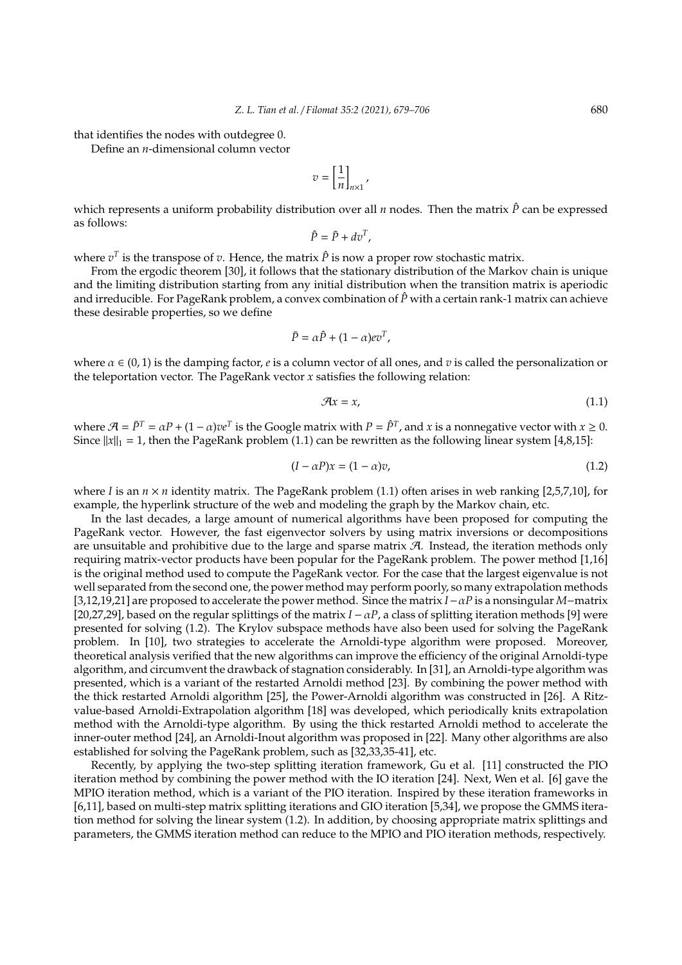that identifies the nodes with outdegree 0.

Define an *n*-dimensional column vector

$$
v = \left[\frac{1}{n}\right]_{n\times 1},
$$

which represents a uniform probability distribution over all *n* nodes. Then the matrix  $\hat{P}$  can be expressed as follows:

$$
\hat{P} = \tilde{P} + dv^T,
$$

where  $v^T$  is the transpose of  $v$ . Hence, the matrix  $\hat{P}$  is now a proper row stochastic matrix.

From the ergodic theorem [30], it follows that the stationary distribution of the Markov chain is unique and the limiting distribution starting from any initial distribution when the transition matrix is aperiodic and irreducible. For PageRank problem, a convex combination of  $\hat{P}$  with a certain rank-1 matrix can achieve these desirable properties, so we define

$$
\bar{P} = \alpha \hat{P} + (1 - \alpha) e v^T,
$$

where  $\alpha \in (0, 1)$  is the damping factor, *e* is a column vector of all ones, and *v* is called the personalization or the teleportation vector. The PageRank vector *x* satisfies the following relation:

$$
\mathcal{A}x = x,\tag{1.1}
$$

where  $\mathcal{A} = \bar{P}^T = \alpha P + (1-\alpha) v e^T$  is the Google matrix with  $P = \hat{P}^T$ , and *x* is a nonnegative vector with  $x \ge 0$ . Since  $||x||_1 = 1$ , then the PageRank problem (1.1) can be rewritten as the following linear system [4,8,15]:

$$
(I - \alpha P)x = (1 - \alpha)v,\tag{1.2}
$$

where *I* is an  $n \times n$  identity matrix. The PageRank problem (1.1) often arises in web ranking [2,5,7,10], for example, the hyperlink structure of the web and modeling the graph by the Markov chain, etc.

In the last decades, a large amount of numerical algorithms have been proposed for computing the PageRank vector. However, the fast eigenvector solvers by using matrix inversions or decompositions are unsuitable and prohibitive due to the large and sparse matrix  $\mathcal{A}$ . Instead, the iteration methods only requiring matrix-vector products have been popular for the PageRank problem. The power method [1,16] is the original method used to compute the PageRank vector. For the case that the largest eigenvalue is not well separated from the second one, the power method may perform poorly, so many extrapolation methods [3,12,19,21] are proposed to accelerate the power method. Since the matrix *I*−α*P* is a nonsingular *M*−matrix [20,27,29], based on the regular splittings of the matrix  $I - \alpha P$ , a class of splitting iteration methods [9] were presented for solving (1.2). The Krylov subspace methods have also been used for solving the PageRank problem. In [10], two strategies to accelerate the Arnoldi-type algorithm were proposed. Moreover, theoretical analysis verified that the new algorithms can improve the efficiency of the original Arnoldi-type algorithm, and circumvent the drawback of stagnation considerably. In [31], an Arnoldi-type algorithm was presented, which is a variant of the restarted Arnoldi method [23]. By combining the power method with the thick restarted Arnoldi algorithm [25], the Power-Arnoldi algorithm was constructed in [26]. A Ritzvalue-based Arnoldi-Extrapolation algorithm [18] was developed, which periodically knits extrapolation method with the Arnoldi-type algorithm. By using the thick restarted Arnoldi method to accelerate the inner-outer method [24], an Arnoldi-Inout algorithm was proposed in [22]. Many other algorithms are also established for solving the PageRank problem, such as [32,33,35-41], etc.

Recently, by applying the two-step splitting iteration framework, Gu et al. [11] constructed the PIO iteration method by combining the power method with the IO iteration [24]. Next, Wen et al. [6] gave the MPIO iteration method, which is a variant of the PIO iteration. Inspired by these iteration frameworks in [6,11], based on multi-step matrix splitting iterations and GIO iteration [5,34], we propose the GMMS iteration method for solving the linear system (1.2). In addition, by choosing appropriate matrix splittings and parameters, the GMMS iteration method can reduce to the MPIO and PIO iteration methods, respectively.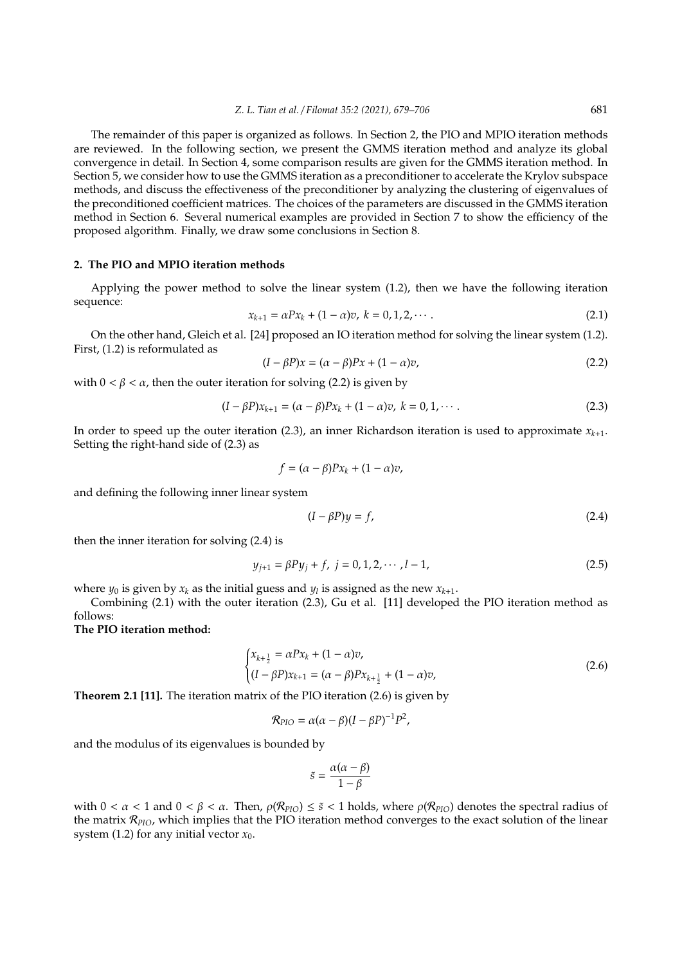The remainder of this paper is organized as follows. In Section 2, the PIO and MPIO iteration methods are reviewed. In the following section, we present the GMMS iteration method and analyze its global convergence in detail. In Section 4, some comparison results are given for the GMMS iteration method. In Section 5, we consider how to use the GMMS iteration as a preconditioner to accelerate the Krylov subspace methods, and discuss the effectiveness of the preconditioner by analyzing the clustering of eigenvalues of the preconditioned coefficient matrices. The choices of the parameters are discussed in the GMMS iteration method in Section 6. Several numerical examples are provided in Section 7 to show the efficiency of the proposed algorithm. Finally, we draw some conclusions in Section 8.

#### **2. The PIO and MPIO iteration methods**

Applying the power method to solve the linear system (1.2), then we have the following iteration sequence:

$$
x_{k+1} = \alpha P x_k + (1 - \alpha)v, \ k = 0, 1, 2, \cdots.
$$
 (2.1)

On the other hand, Gleich et al. [24] proposed an IO iteration method for solving the linear system (1.2). First, (1.2) is reformulated as

$$
(I - \beta P)x = (\alpha - \beta)Px + (1 - \alpha)v,\tag{2.2}
$$

with  $0 < \beta < \alpha$ , then the outer iteration for solving (2.2) is given by

$$
(I - \beta P)x_{k+1} = (\alpha - \beta)Px_k + (1 - \alpha)v, \ k = 0, 1, \cdots.
$$
 (2.3)

In order to speed up the outer iteration (2.3), an inner Richardson iteration is used to approximate  $x_{k+1}$ . Setting the right-hand side of (2.3) as

$$
f=(\alpha-\beta)Px_k+(1-\alpha)v,
$$

and defining the following inner linear system

$$
(I - \beta P)y = f,\t\t(2.4)
$$

then the inner iteration for solving (2.4) is

$$
y_{j+1} = \beta Py_j + f, \ j = 0, 1, 2, \cdots, l-1,
$$
\n(2.5)

where  $y_0$  is given by  $x_k$  as the initial guess and  $y_l$  is assigned as the new  $x_{k+1}$ .

Combining (2.1) with the outer iteration (2.3), Gu et al. [11] developed the PIO iteration method as follows:

**The PIO iteration method:**

$$
\begin{cases} x_{k+\frac{1}{2}} = \alpha P x_k + (1 - \alpha)v, \\ (I - \beta P)x_{k+1} = (\alpha - \beta)P x_{k+\frac{1}{2}} + (1 - \alpha)v, \end{cases}
$$
 (2.6)

**Theorem 2.1 [11].** The iteration matrix of the PIO iteration (2.6) is given by

$$
\mathcal{R}_{\text{PIO}} = \alpha(\alpha - \beta)(I - \beta P)^{-1}P^2,
$$

and the modulus of its eigenvalues is bounded by

$$
\tilde{s} = \frac{\alpha(\alpha - \beta)}{1 - \beta}
$$

with  $0 < \alpha < 1$  and  $0 < \beta < \alpha$ . Then,  $\rho(\mathcal{R}_{PIO}) \leq \tilde{s} < 1$  holds, where  $\rho(\mathcal{R}_{PIO})$  denotes the spectral radius of the matrix R*PIO*, which implies that the PIO iteration method converges to the exact solution of the linear system (1.2) for any initial vector  $x_0$ .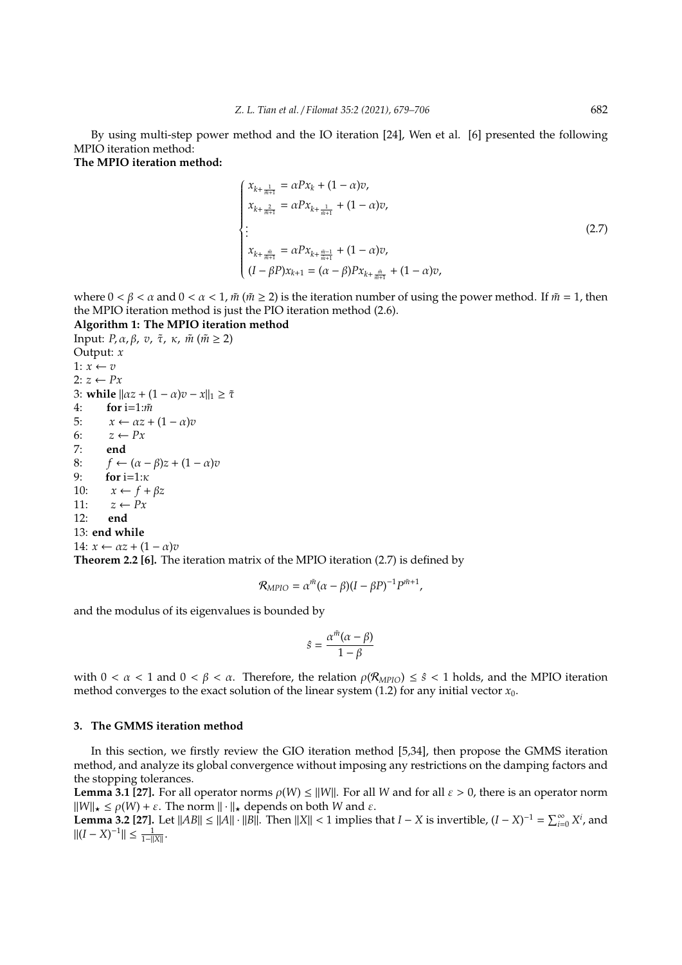By using multi-step power method and the IO iteration [24], Wen et al. [6] presented the following MPIO iteration method:

**The MPIO iteration method:**

$$
\begin{cases}\n x_{k+\frac{1}{m+1}} = \alpha P x_k + (1 - \alpha)v, \\
 x_{k+\frac{2}{m+1}} = \alpha P x_{k+\frac{1}{m+1}} + (1 - \alpha)v, \\
 \vdots \\
 x_{k+\frac{\tilde{m}}{m+1}} = \alpha P x_{k+\frac{\tilde{m}-1}{m+1}} + (1 - \alpha)v, \\
 (I - \beta P) x_{k+1} = (\alpha - \beta) P x_{k+\frac{\tilde{m}}{m+1}} + (1 - \alpha)v,\n\end{cases}
$$
\n(2.7)

where  $0 < \beta < \alpha$  and  $0 < \alpha < 1$ ,  $\tilde{m}$  ( $\tilde{m} \ge 2$ ) is the iteration number of using the power method. If  $\tilde{m} = 1$ , then the MPIO iteration method is just the PIO iteration method (2.6).

# **Algorithm 1: The MPIO iteration method**

Input: *P*,  $\alpha$ ,  $\beta$ , *v*,  $\tilde{\tau}$ , *κ*,  $\tilde{m}$  ( $\tilde{m} \ge 2$ ) Output: *x* 1:  $x \leftarrow v$ 2:  $z$  ←  $Px$ 3: while  $\|\alpha z + (1 - \alpha)v - x\|_1 \geq \tilde{\tau}$ 4: **for** i=1:*m*˜ 5:  $x \leftarrow \alpha z + (1 - \alpha)v$ 6:  $z \leftarrow Px$ 7: **end** 8:  $f \leftarrow (\alpha - \beta)z + (1 - \alpha)v$ 9: **for** i=1:κ 10:  $x \leftarrow f + \beta z$ 11:  $z \leftarrow Px$ 12: **end** 13: **end while** 14:  $x \leftarrow \alpha z + (1 - \alpha)v$ **Theorem 2.2 [6].** The iteration matrix of the MPIO iteration (2.7) is defined by

$$
\mathcal{R}_{MPIO} = \alpha^{\tilde{m}}(\alpha - \beta)(I - \beta P)^{-1} P^{\tilde{m}+1},
$$

and the modulus of its eigenvalues is bounded by

$$
\hat{s} = \frac{\alpha^{\tilde{m}}(\alpha - \beta)}{1 - \beta}
$$

with  $0 < \alpha < 1$  and  $0 < \beta < \alpha$ . Therefore, the relation  $\rho(R_{MPIO}) \leq \hat{s} < 1$  holds, and the MPIO iteration method converges to the exact solution of the linear system (1.2) for any initial vector *x*0.

#### **3. The GMMS iteration method**

In this section, we firstly review the GIO iteration method [5,34], then propose the GMMS iteration method, and analyze its global convergence without imposing any restrictions on the damping factors and the stopping tolerances.

**Lemma 3.1 [27].** For all operator norms  $\rho(W) \le ||W||$ . For all *W* and for all  $\varepsilon > 0$ , there is an operator norm  $\|W\|_{\star} \leq \rho(W) + \varepsilon$ . The norm  $\|\cdot\|_{\star}$  depends on both *W* and  $\varepsilon$ .

**Lemma 3.2** [27]. Let  $||AB|| \le ||A|| \cdot ||B||$ . Then  $||X|| < 1$  implies that *I* − *X* is invertible,  $(I - X)^{-1} = \sum_{i=0}^{\infty} X^i$ , and  $||(I - X)^{-1}|| \le \frac{1}{1-||X||}.$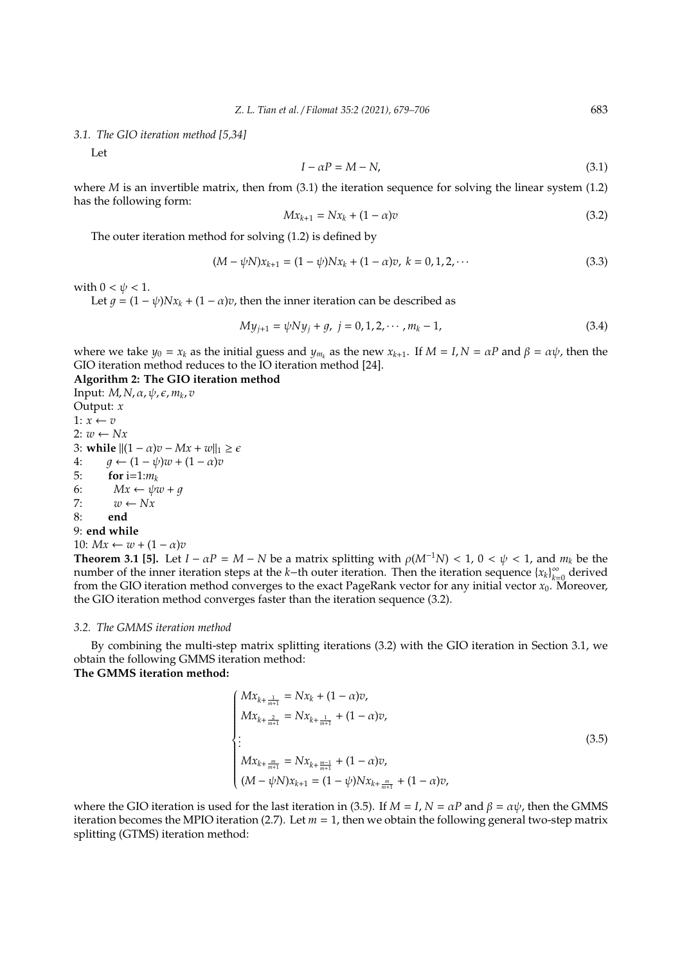*3.1. The GIO iteration method [5,34]*

Let

$$
I - \alpha P = M - N,\t\t(3.1)
$$

where *M* is an invertible matrix, then from (3.1) the iteration sequence for solving the linear system (1.2) has the following form:

$$
Mx_{k+1} = Nx_k + (1 - \alpha)v \tag{3.2}
$$

The outer iteration method for solving (1.2) is defined by

$$
(M - \psi N)x_{k+1} = (1 - \psi)Nx_k + (1 - \alpha)v, \ k = 0, 1, 2, \cdots
$$
\n(3.3)

with  $0 < \psi < 1$ .

Let  $q = (1 - \psi)Nx_k + (1 - \alpha)v$ , then the inner iteration can be described as

$$
My_{j+1} = \psi Ny_j + g, \ j = 0, 1, 2, \cdots, m_k - 1,
$$
\n(3.4)

where we take  $y_0 = x_k$  as the initial guess and  $y_{m_k}$  as the new  $x_{k+1}$ . If  $M = I$ ,  $N = \alpha P$  and  $\beta = \alpha \psi$ , then the GIO iteration method reduces to the IO iteration method [24].

## **Algorithm 2: The GIO iteration method**

**Input:** *M, N, α, ψ, ε, m<sub>k</sub>, v* Output: *x* 1:  $x \leftarrow v$  $2: w \leftarrow Nx$ 3: **while**  $||(1 - \alpha)v - Mx + w||_1 \ge \epsilon$ 4:  $q \leftarrow (1 - \psi)w + (1 - \alpha)v$ 5: **for** i=1: $m_k$ 6:  $Mx \leftarrow \psi w + g$ 7:  $w \leftarrow Nx$ 8: **end** 9: **end while**

10: 
$$
Mx \leftarrow w + (1 - \alpha)v
$$

**Theorem 3.1 [5].** Let  $I - \alpha P = M - N$  be a matrix splitting with  $\rho(M^{-1}N) < 1$ ,  $0 < \psi < 1$ , and  $m_k$  be the number of the inner iteration steps at the *k*−th outer iteration. Then the iteration sequence {*x<sub>k</sub>*}<sup>∞</sup>  $\sum_{k=0}^{\infty}$  derived from the GIO iteration method converges to the exact PageRank vector for any initial vector  $x_0$ . Moreover, the GIO iteration method converges faster than the iteration sequence (3.2).

# *3.2. The GMMS iteration method*

By combining the multi-step matrix splitting iterations (3.2) with the GIO iteration in Section 3.1, we obtain the following GMMS iteration method: **The GMMS iteration method:**

$$
\begin{cases}\nMx_{k+\frac{1}{m+1}} = Nx_k + (1 - \alpha)v, \\
Mx_{k+\frac{2}{m+1}} = Nx_{k+\frac{1}{m+1}} + (1 - \alpha)v, \\
\vdots \\
Mx_{k+\frac{m}{m+1}} = Nx_{k+\frac{m-1}{m+1}} + (1 - \alpha)v, \\
(M - \psi N)x_{k+1} = (1 - \psi)Nx_{k+\frac{m}{m+1}} + (1 - \alpha)v,\n\end{cases}
$$
\n(3.5)

where the GIO iteration is used for the last iteration in (3.5). If  $M = I$ ,  $N = \alpha P$  and  $\beta = \alpha \psi$ , then the GMMS iteration becomes the MPIO iteration (2.7). Let  $m = 1$ , then we obtain the following general two-step matrix splitting (GTMS) iteration method: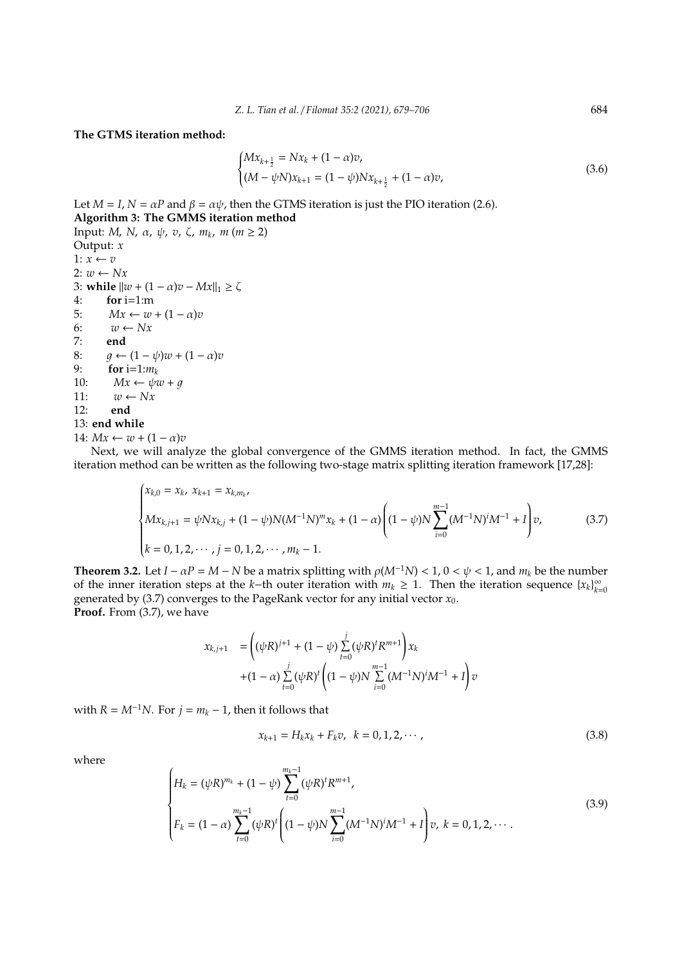### **The GTMS iteration method:**

$$
\begin{cases} Mx_{k+\frac{1}{2}} = Nx_k + (1 - \alpha)v, \\ (M - \psi N)x_{k+1} = (1 - \psi)Nx_{k+\frac{1}{2}} + (1 - \alpha)v, \end{cases}
$$
(3.6)

Let  $M = I$ ,  $N = \alpha P$  and  $\beta = \alpha \psi$ , then the GTMS iteration is just the PIO iteration (2.6). **Algorithm 3: The GMMS iteration method**

Input: *M*, *N*, α, ψ, *v*, ζ, *m<sup>k</sup>* , *m* (*m* ≥ 2) Output: *x* 1:  $x \leftarrow v$ 2: *w* ← *Nx* 3: **while**  $||w + (1 - \alpha)v - Mx||_1 \ge \zeta$ 4: **for** i=1:m 5:  $Mx \leftarrow w + (1 - \alpha)v$ 6:  $w \leftarrow Nx$ 7: **end** 8:  $g \leftarrow (1 - \psi)w + (1 - \alpha)v$ 9: **for** i=1: $m_k$ <br>10:  $Mx \leftarrow \psi \psi$  $Mx \leftarrow \psi w + q$ 11:  $w \leftarrow Nx$ 12: **end** 13: **end while** 14:  $Mx \leftarrow w + (1 - \alpha)v$ 

Next, we will analyze the global convergence of the GMMS iteration method. In fact, the GMMS iteration method can be written as the following two-stage matrix splitting iteration framework [17,28]:

$$
\begin{cases} x_{k,0} = x_k, \ x_{k+1} = x_{k,m_k}, \\ M x_{k,j+1} = \psi N x_{k,j} + (1 - \psi) N (M^{-1} N)^m x_k + (1 - \alpha) \left( (1 - \psi) N \sum_{i=0}^{m-1} (M^{-1} N)^i M^{-1} + I \right) v, \\ k = 0, 1, 2, \cdots, j = 0, 1, 2, \cdots, m_k - 1. \end{cases}
$$
(3.7)

**Theorem 3.2.** Let  $I - \alpha P = M - N$  be a matrix splitting with  $\rho(M^{-1}N) < 1$ ,  $0 < \psi < 1$ , and  $m_k$  be the number of the inner iteration steps at the *k*−th outer iteration with  $m_k \geq 1$ . Then the iteration sequence  $\{x_k\}_{k=1}^{\infty}$ *k*=0 generated by (3.7) converges to the PageRank vector for any initial vector *x*0. **Proof.** From (3.7), we have

$$
\begin{array}{ll} x_{k,j+1} & = \left( (\psi R)^{j+1} + (1-\psi) \sum\limits_{t=0}^{j} (\psi R)^t R^{m+1} \right) x_k \\ & \quad + (1-\alpha) \sum\limits_{t=0}^{j} (\psi R)^t \left( (1-\psi) N \sum\limits_{i=0}^{m-1} (M^{-1}N)^i M^{-1} + I \right) v \end{array}
$$

with  $R = M^{-1}N$ . For  $j = m_k - 1$ , then it follows that

$$
x_{k+1} = H_k x_k + F_k v, \ \ k = 0, 1, 2, \cdots,
$$
\n(3.8)

where

$$
\begin{cases}\nH_k = (\psi R)^{m_k} + (1 - \psi) \sum_{t=0}^{m_k - 1} (\psi R)^t R^{m+1}, \\
F_k = (1 - \alpha) \sum_{t=0}^{m_k - 1} (\psi R)^t \left( (1 - \psi) N \sum_{i=0}^{m-1} (M^{-1} N)^i M^{-1} + I \right) v, \ k = 0, 1, 2, \cdots.\n\end{cases}
$$
\n(3.9)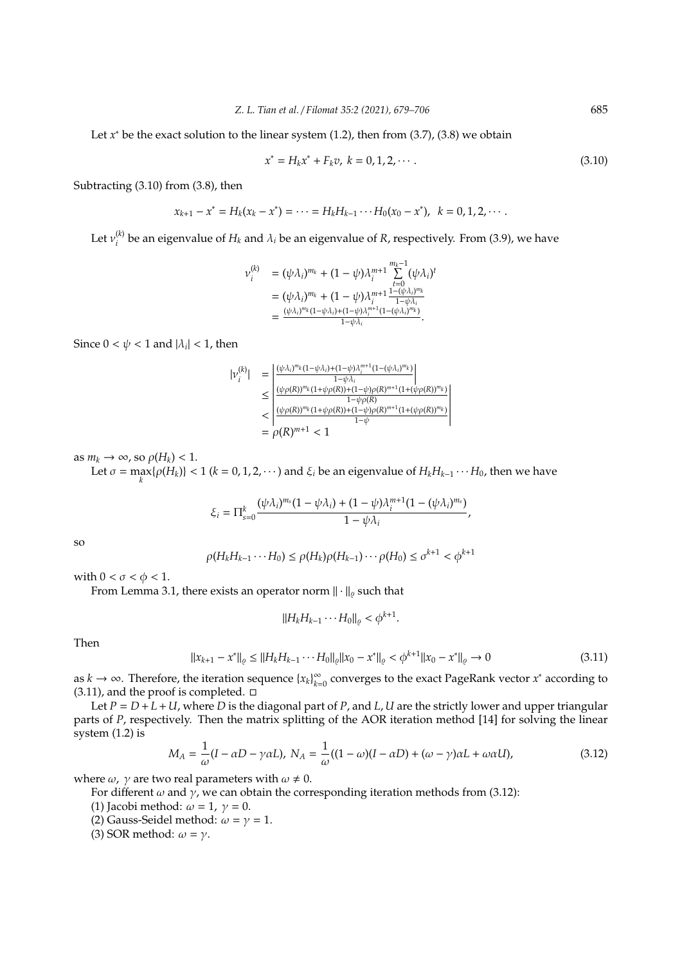Let  $x^*$  be the exact solution to the linear system  $(1.2)$ , then from  $(3.7)$ ,  $(3.8)$  we obtain

$$
x^* = H_k x^* + F_k v, \ k = 0, 1, 2, \cdots.
$$
 (3.10)

Subtracting (3.10) from (3.8), then

$$
x_{k+1} - x^* = H_k(x_k - x^*) = \cdots = H_k H_{k-1} \cdots H_0(x_0 - x^*), \ \ k = 0, 1, 2, \cdots.
$$

Let  $v_i^{(k)}$  $i^{(k)}$  be an eigenvalue of  $H_k$  and  $\lambda_i$  be an eigenvalue of *R*, respectively. From (3.9), we have

$$
\nu_i^{(k)} = (\psi \lambda_i)^{m_k} + (1 - \psi) \lambda_i^{m+1} \sum_{t=0}^{m_k-1} (\psi \lambda_i)^t \n= (\psi \lambda_i)^{m_k} + (1 - \psi) \lambda_i^{m+1} \frac{1 - (\psi \lambda_i)^{m_k}}{1 - \psi \lambda_i} \n= \frac{(\psi \lambda_i)^{m_k} (1 - \psi \lambda_i)^{n+1} (1 - (\psi \lambda_i)^{m_k})}{1 - \psi \lambda_i}.
$$

Since  $0 < \psi < 1$  and  $|\lambda_i| < 1$ , then

$$
|\nu_i^{(k)}| = \left| \frac{(\psi \lambda_i)^{m_k} (1 - \psi \lambda_i) + (1 - \psi) \lambda_i^{m+1} (1 - (\psi \lambda_i)^{m_k})}{1 - \psi \lambda_i} \right|
$$
  
\n
$$
\leq \left| \frac{(\psi \rho(R))^{m_k} (1 + \psi \rho(R)) + (1 - \psi) \rho(R)^{m+1} (1 + (\psi \rho(R))^{m_k})}{1 - \psi \rho(R)} \right|
$$
  
\n
$$
< \left| \frac{(\psi \rho(R))^{m_k} (1 + \psi \rho(R)) + (1 - \psi) \rho(R)^{m+1} (1 + (\psi \rho(R))^{m_k})}{1 - \psi} \right|
$$
  
\n
$$
= \rho(R)^{m+1} < 1
$$

as  $m_k \to \infty$ , so  $\rho(H_k) < 1$ .

Let  $\sigma = \max_{k} {\rho(H_k)} < 1$  ( $k = 0, 1, 2, \cdots$ ) and  $\xi_i$  be an eigenvalue of  $H_k H_{k-1} \cdots H_0$ , then we have

$$
\xi_i=\Pi_{s=0}^k\frac{(\psi\lambda_i)^{m_s}(1-\psi\lambda_i)+(1-\psi)\lambda_i^{m+1}(1-(\psi\lambda_i)^{m_s})}{1-\psi\lambda_i},
$$

so

$$
\rho(H_k H_{k-1} \cdots H_0) \le \rho(H_k)\rho(H_{k-1}) \cdots \rho(H_0) \le \sigma^{k+1} < \phi^{k+1}
$$

with  $0 < \sigma < \phi < 1$ .

From Lemma 3.1, there exists an operator norm  $\|\cdot\|_{\varrho}$  such that

$$
||H_k H_{k-1} \cdots H_0||_{\varrho} < \phi^{k+1}.
$$

Then

$$
||x_{k+1} - x^*||_{\varrho} \le ||H_k H_{k-1} \cdots H_0||_{\varrho} ||x_0 - x^*||_{\varrho} < \varphi^{k+1} ||x_0 - x^*||_{\varrho} \to 0
$$
\n(3.11)

as  $k \to \infty$ . Therefore, the iteration sequence  $\{x_k\}_{k=1}^{\infty}$ *k*=0 converges to the exact PageRank vector *x* <sup>∗</sup> according to  $(3.11)$ , and the proof is completed.  $\Box$ 

Let  $P = D + L + U$ , where *D* is the diagonal part of *P*, and *L*, *U* are the strictly lower and upper triangular parts of *P*, respectively. Then the matrix splitting of the AOR iteration method [14] for solving the linear system (1.2) is

$$
M_A = \frac{1}{\omega}(I - \alpha D - \gamma \alpha L), N_A = \frac{1}{\omega}((1 - \omega)(I - \alpha D) + (\omega - \gamma)\alpha L + \omega \alpha U),
$$
\n(3.12)

where  $\omega$ ,  $\gamma$  are two real parameters with  $\omega \neq 0$ .

For different  $\omega$  and  $\gamma$ , we can obtain the corresponding iteration methods from (3.12):

(1) Jacobi method:  $\omega = 1$ ,  $\gamma = 0$ .

(2) Gauss-Seidel method:  $\omega = \gamma = 1$ .

(3) SOR method:  $\omega = \gamma$ .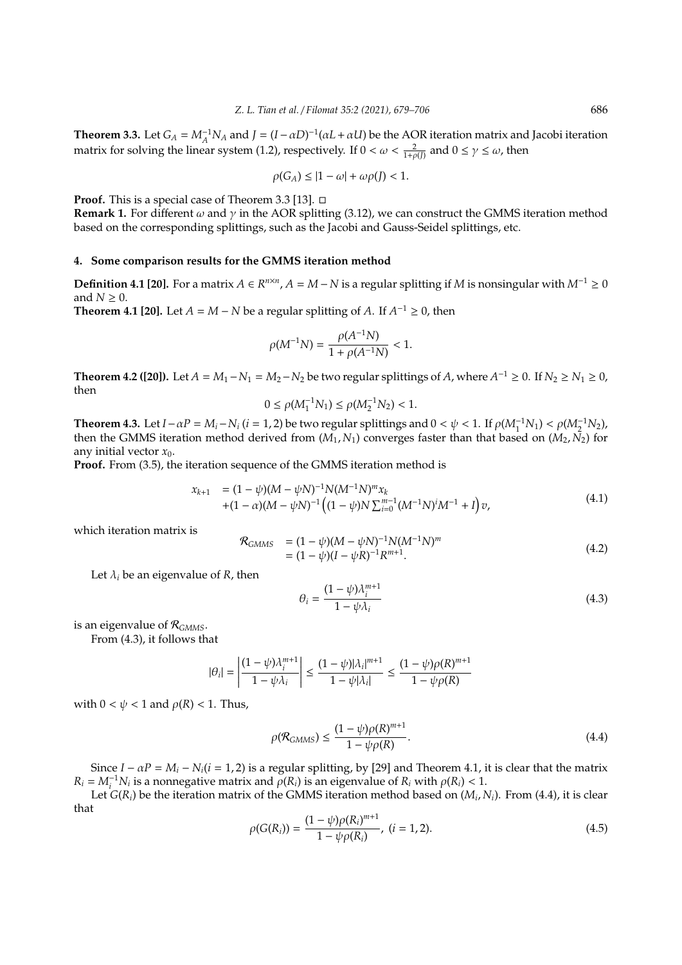**Theorem 3.3.** Let  $G_A = M_A^{-1} N_A$  and  $J = (I - \alpha D)^{-1} (\alpha L + \alpha U)$  be the AOR iteration matrix and Jacobi iteration matrix for solving the linear system (1.2), respectively. If  $0 < \omega < \frac{2}{1+\rho(J)}$  and  $0 \le \gamma \le \omega$ , then

$$
\rho(G_A) \le |1 - \omega| + \omega \rho(J) < 1.
$$

**Proof.** This is a special case of Theorem 3.3 [13].

**Remark 1.** For different  $\omega$  and  $\gamma$  in the AOR splitting (3.12), we can construct the GMMS iteration method based on the corresponding splittings, such as the Jacobi and Gauss-Seidel splittings, etc.

### **4. Some comparison results for the GMMS iteration method**

**Definition 4.1 [20].** For a matrix *A* ∈  $R^{n \times n}$ , *A* = *M* − *N* is a regular splitting if *M* is nonsingular with  $M^{-1} \ge 0$ and  $N \geq 0$ .

**Theorem 4.1 [20].** Let  $A = M - N$  be a regular splitting of  $A$ . If  $A^{-1} \ge 0$ , then

$$
\rho(M^{-1}N) = \frac{\rho(A^{-1}N)}{1 + \rho(A^{-1}N)} < 1.
$$

**Theorem 4.2 ([20]).** Let  $A = M_1 - N_1 = M_2 - N_2$  be two regular splittings of  $A$ , where  $A^{-1} \ge 0$ . If  $N_2 \ge N_1 \ge 0$ , then

$$
0 \le \rho(M_1^{-1}N_1) \le \rho(M_2^{-1}N_2) < 1.
$$

**Theorem 4.3.** Let  $I - \alpha P = M_i - N_i$  ( $i = 1, 2$ ) be two regular splittings and  $0 < \psi < 1$ . If  $\rho(M_1^{-1}N_1) < \rho(M_2^{-1}N_2)$ , then the GMMS iteration method derived from  $(M_1, N_1)$  converges faster than that based on  $(M_2, \bar{N_2})$  for any initial vector  $x_0$ .

**Proof.** From (3.5), the iteration sequence of the GMMS iteration method is

$$
x_{k+1} = (1 - \psi)(M - \psi N)^{-1} N (M^{-1} N)^m x_k + (1 - \alpha)(M - \psi N)^{-1} ((1 - \psi) N \sum_{i=0}^{m-1} (M^{-1} N)^i M^{-1} + I) v,
$$
(4.1)

which iteration matrix is

$$
\mathcal{R}_{GMMS} = (1 - \psi)(M - \psi N)^{-1} N (M^{-1} N)^m
$$
  
=  $(1 - \psi)(I - \psi R)^{-1} R^{m+1}$ . (4.2)

Let  $\lambda_i$  be an eigenvalue of *R*, then

$$
\theta_i = \frac{(1 - \psi)\lambda_i^{m+1}}{1 - \psi\lambda_i} \tag{4.3}
$$

is an eigenvalue of R*GMMS*.

From (4.3), it follows that

$$
|\theta_i| = \left| \frac{(1 - \psi)\lambda_i^{m+1}}{1 - \psi \lambda_i} \right| \le \frac{(1 - \psi)|\lambda_i|^{m+1}}{1 - \psi |\lambda_i|} \le \frac{(1 - \psi)\rho(R)^{m+1}}{1 - \psi \rho(R)}
$$

with  $0 < \psi < 1$  and  $\rho(R) < 1$ . Thus,

$$
\rho(\mathcal{R}_{\text{GMMS}}) \le \frac{(1 - \psi)\rho(R)^{m+1}}{1 - \psi\rho(R)}.\tag{4.4}
$$

Since  $I - \alpha P = M_i - N_i(i = 1, 2)$  is a regular splitting, by [29] and Theorem 4.1, it is clear that the matrix  $R_i = M_i^{-1} N_i$  is a nonnegative matrix and  $\rho(R_i)$  is an eigenvalue of  $R_i$  with  $\rho(R_i) < 1$ .

Let *G*(*Ri*) be the iteration matrix of the GMMS iteration method based on (*M<sup>i</sup>* , *Ni*). From (4.4), it is clear that

$$
\rho(G(R_i)) = \frac{(1 - \psi)\rho(R_i)^{m+1}}{1 - \psi\rho(R_i)}, \ (i = 1, 2).
$$
\n(4.5)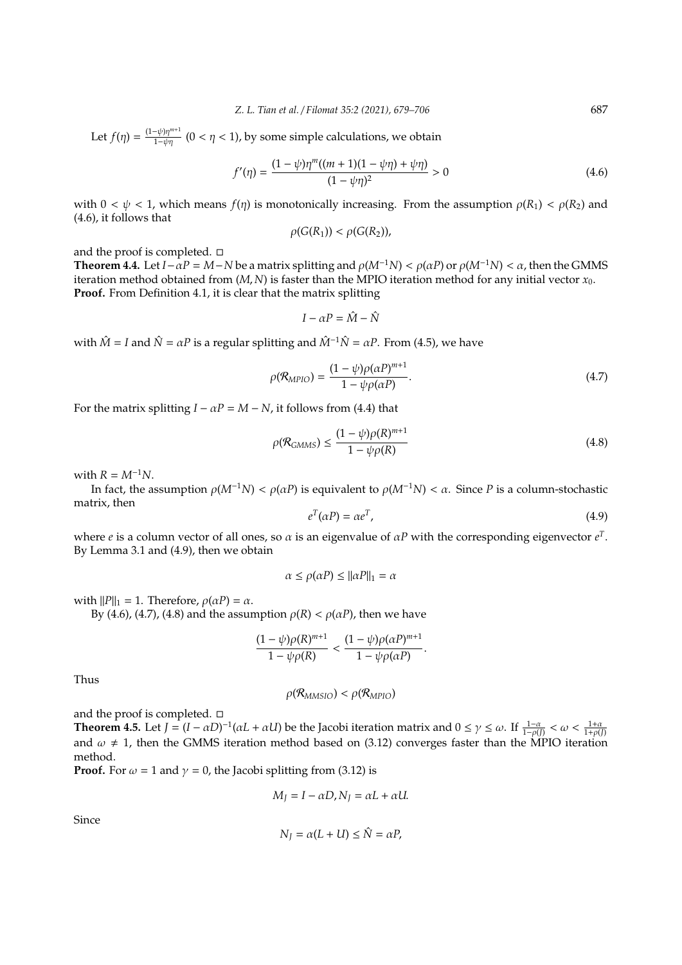Let  $f(\eta) = \frac{(1-\psi)\eta^{m+1}}{1-\psi\eta}$  (0 <  $\eta$  < 1), by some simple calculations, we obtain

$$
f'(\eta) = \frac{(1 - \psi)\eta^m((m + 1)(1 - \psi\eta) + \psi\eta)}{(1 - \psi\eta)^2} > 0
$$
\n(4.6)

with  $0 < \psi < 1$ , which means  $f(\eta)$  is monotonically increasing. From the assumption  $\rho(R_1) < \rho(R_2)$  and (4.6), it follows that

$$
\rho(G(R_1)) < \rho(G(R_2)),
$$

and the proof is completed.  $\square$ 

**Theorem 4.4.** Let *I* −  $\alpha$ *P* = *M* − *N* be a matrix splitting and  $\rho(M^{-1}N) < \rho(\alpha P)$  or  $\rho(M^{-1}N) < \alpha$ , then the GMMS iteration method obtained from  $(M, N)$  is faster than the MPIO iteration method for any initial vector  $x_0$ . **Proof.** From Definition 4.1, it is clear that the matrix splitting

$$
I - \alpha P = \hat{M} - \hat{N}
$$

with  $\hat{M} = I$  and  $\hat{N} = \alpha P$  is a regular splitting and  $\hat{M}^{-1}\hat{N} = \alpha P$ . From (4.5), we have

$$
\rho(\mathcal{R}_{MPIO}) = \frac{(1 - \psi)\rho(\alpha P)^{m+1}}{1 - \psi\rho(\alpha P)}.
$$
\n(4.7)

For the matrix splitting  $I - \alpha P = M - N$ , it follows from (4.4) that

$$
\rho(\mathcal{R}_{GMMS}) \le \frac{(1-\psi)\rho(R)^{m+1}}{1-\psi\rho(R)}
$$
\n(4.8)

with  $R = M^{-1}N$ .

In fact, the assumption  $\rho(M^{-1}N) < \rho(\alpha P)$  is equivalent to  $\rho(M^{-1}N) < \alpha$ . Since *P* is a column-stochastic matrix, then

$$
e^T(\alpha P) = \alpha e^T,\tag{4.9}
$$

where *e* is a column vector of all ones, so  $\alpha$  is an eigenvalue of  $\alpha P$  with the corresponding eigenvector  $e^T$ . By Lemma 3.1 and (4.9), then we obtain

$$
\alpha \le \rho(\alpha P) \le ||\alpha P||_1 = \alpha
$$

with  $||P||_1 = 1$ . Therefore,  $\rho(\alpha P) = \alpha$ .

By (4.6), (4.7), (4.8) and the assumption  $\rho(R) < \rho(\alpha P)$ , then we have

$$
\frac{(1-\psi)\rho(R)^{m+1}}{1-\psi\rho(R)}<\frac{(1-\psi)\rho(\alpha P)^{m+1}}{1-\psi\rho(\alpha P)}.
$$

Thus

$$
\rho(R_{MMSIO}) < \rho(R_{MPIO})
$$

and the proof is completed.  $\square$ 

**Theorem 4.5.** Let  $J = (I - \alpha D)^{-1}(\alpha L + \alpha U)$  be the Jacobi iteration matrix and  $0 \le \gamma \le \omega$ . If  $\frac{1-\alpha}{1-\rho(J)} < \omega < \frac{1+\alpha}{1+\rho(J)}$ and  $\omega \neq 1$ , then the GMMS iteration method based on (3.12) converges faster than the MPIO iteration method.

**Proof.** For  $\omega = 1$  and  $\gamma = 0$ , the Jacobi splitting from (3.12) is

$$
M_J = I - \alpha D, N_J = \alpha L + \alpha U.
$$

Since

$$
N_J = \alpha (L + U) \le \hat{N} = \alpha P,
$$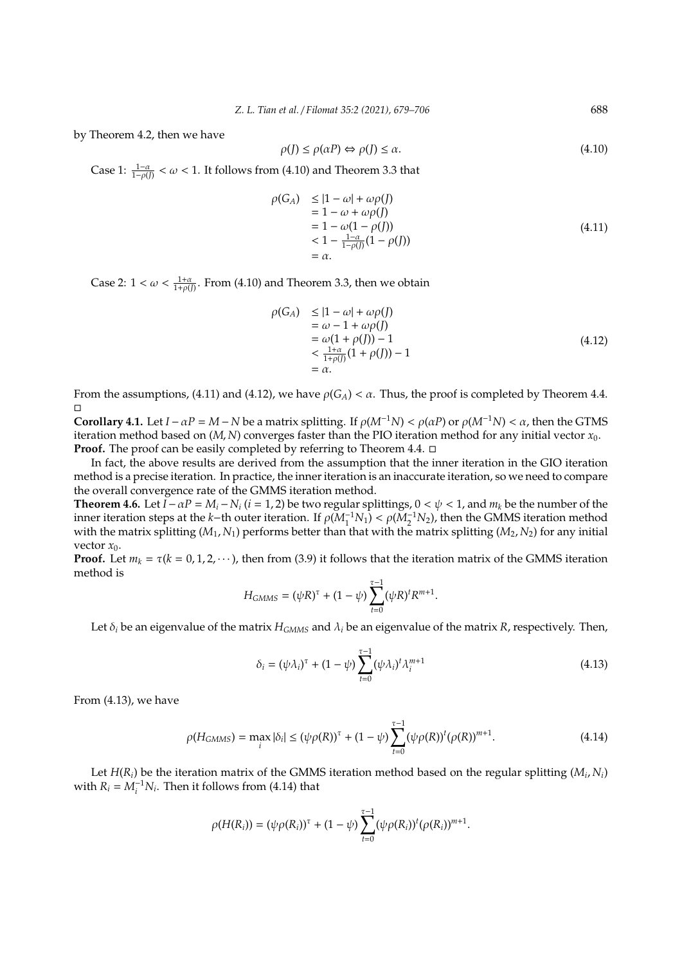by Theorem 4.2, then we have

$$
\rho(J) \le \rho(\alpha P) \Leftrightarrow \rho(J) \le \alpha. \tag{4.10}
$$

Case 1:  $\frac{1-\alpha}{1-\rho(f)} < \omega < 1$ . It follows from (4.10) and Theorem 3.3 that

$$
\rho(G_A) \le |1 - \omega| + \omega \rho(J) \n= 1 - \omega + \omega \rho(J) \n= 1 - \omega(1 - \rho(J)) \n< 1 - \frac{1 - \alpha}{1 - \rho(J)}(1 - \rho(J)) \n= \alpha.
$$
\n(4.11)

Case 2:  $1 < \omega < \frac{1+\alpha}{1+\rho(J)}$ . From (4.10) and Theorem 3.3, then we obtain

$$
\rho(G_A) \leq |1 - \omega| + \omega \rho(J) \n= \omega - 1 + \omega \rho(J) \n= \omega(1 + \rho(J)) - 1 \n< \frac{1 + \alpha}{1 + \rho(J)}(1 + \rho(J)) - 1 \n= \alpha.
$$
\n(4.12)

From the assumptions, (4.11) and (4.12), we have  $\rho(G_A) < \alpha$ . Thus, the proof is completed by Theorem 4.4.  $\Box$ 

**Corollary 4.1.** Let *I* −  $\alpha$ *P* = *M* − *N* be a matrix splitting. If  $\rho(M^{-1}N) < \rho(\alpha P)$  or  $\rho(M^{-1}N) < \alpha$ , then the GTMS iteration method based on (*M*, *N*) converges faster than the PIO iteration method for any initial vector *x*0. **Proof.** The proof can be easily completed by referring to Theorem 4.4. □

In fact, the above results are derived from the assumption that the inner iteration in the GIO iteration method is a precise iteration. In practice, the inner iteration is an inaccurate iteration, so we need to compare the overall convergence rate of the GMMS iteration method.

**Theorem 4.6.** Let  $I - \alpha P = M_i - N_i$  ( $i = 1, 2$ ) be two regular splittings,  $0 < \psi < 1$ , and  $m_k$  be the number of the inner iteration steps at the *k*−th outer iteration. If  $\rho(M_1^{-1}N_1) < \rho(M_2^{-1}N_2)$ , then the GMMS iteration method with the matrix splitting  $(M_1, N_1)$  performs better than that with the matrix splitting  $(M_2, N_2)$  for any initial vector  $x_0$ .

**Proof.** Let  $m_k = \tau (k = 0, 1, 2, \dots)$ , then from (3.9) it follows that the iteration matrix of the GMMS iteration method is

$$
H_{GMMS} = (\psi R)^{\tau} + (1 - \psi) \sum_{t=0}^{\tau-1} (\psi R)^t R^{m+1}.
$$

Let  $\delta_i$  be an eigenvalue of the matrix  $H_{GMMS}$  and  $\lambda_i$  be an eigenvalue of the matrix *R*, respectively. Then,

$$
\delta_i = (\psi \lambda_i)^{\tau} + (1 - \psi) \sum_{t=0}^{\tau-1} (\psi \lambda_i)^t \lambda_i^{m+1}
$$
\n(4.13)

From (4.13), we have

$$
\rho(H_{GMMS}) = \max_{i} |\delta_{i}| \le (\psi \rho(R))^{\tau} + (1 - \psi) \sum_{t=0}^{\tau-1} (\psi \rho(R))^{t} (\rho(R))^{m+1}.
$$
\n(4.14)

Let *H*(*Ri*) be the iteration matrix of the GMMS iteration method based on the regular splitting (*M<sup>i</sup>* , *Ni*) with  $R_i = M_i^{-1} N_i$ . Then it follows from (4.14) that

$$
\rho(H(R_i)) = (\psi \rho(R_i))^{\tau} + (1 - \psi) \sum_{t=0}^{\tau-1} (\psi \rho(R_i))^t (\rho(R_i))^{m+1}.
$$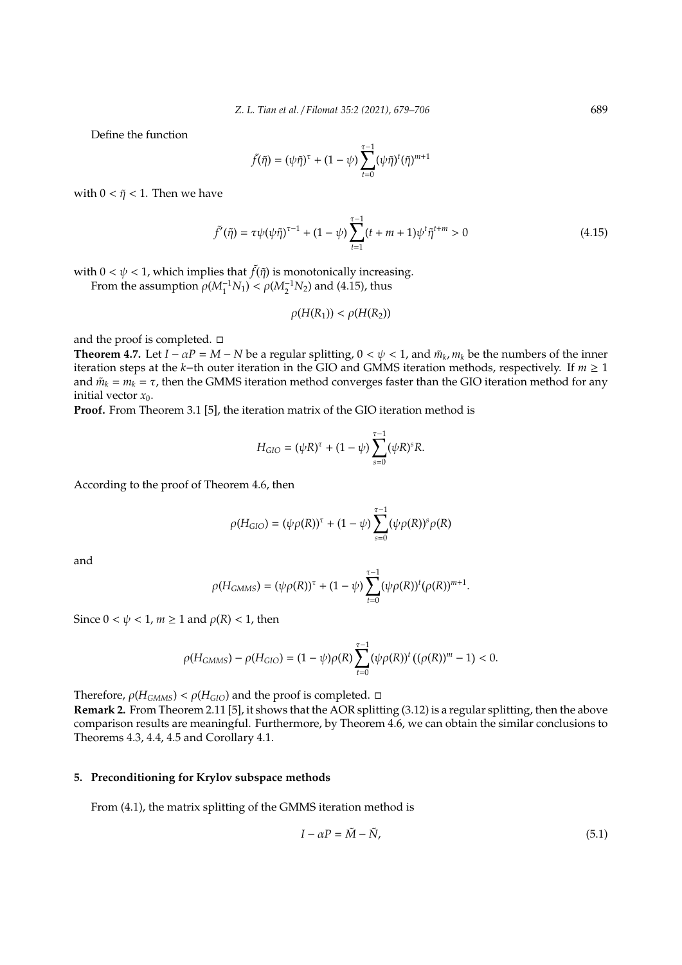Define the function

$$
\tilde{f}(\tilde{\eta}) = (\psi \tilde{\eta})^{\tau} + (1 - \psi) \sum_{t=0}^{\tau-1} (\psi \tilde{\eta})^t (\tilde{\eta})^{m+1}
$$

with  $0 < \tilde{\eta} < 1$ . Then we have

$$
\tilde{f}'(\tilde{\eta}) = \tau \psi(\psi \tilde{\eta})^{\tau - 1} + (1 - \psi) \sum_{t=1}^{\tau - 1} (t + m + 1) \psi^t \tilde{\eta}^{t+m} > 0
$$
\n(4.15)

with  $0 < \psi < 1$ , which implies that  $\tilde{f}(\tilde{\eta})$  is monotonically increasing.

From the assumption  $\rho(M_1^{-1}N_1) < \rho(M_2^{-1}N_2)$  and (4.15), thus

$$
\rho(H(R_1)) < \rho(H(R_2))
$$

and the proof is completed.  $\square$ 

**Theorem 4.7.** Let  $I - \alpha P = M - N$  be a regular splitting,  $0 < \psi < 1$ , and  $\tilde{m}_k$ ,  $m_k$  be the numbers of the inner iteration steps at the *k*−th outer iteration in the GIO and GMMS iteration methods, respectively. If *m* ≥ 1 and  $\tilde{m}_k = m_k = \tau$ , then the GMMS iteration method converges faster than the GIO iteration method for any initial vector  $x_0$ .

**Proof.** From Theorem 3.1 [5], the iteration matrix of the GIO iteration method is

$$
H_{GIO} = (\psi R)^{\tau} + (1 - \psi) \sum_{s=0}^{\tau-1} (\psi R)^{s} R.
$$

According to the proof of Theorem 4.6, then

$$
\rho(H_{GIO}) = (\psi \rho(R))^{\tau} + (1 - \psi) \sum_{s=0}^{\tau-1} (\psi \rho(R))^s \rho(R)
$$

and

$$
\rho(H_{GMMS}) = (\psi \rho(R))^{\tau} + (1 - \psi) \sum_{t=0}^{\tau-1} (\psi \rho(R))^t (\rho(R))^{m+1}.
$$

Since  $0 < \psi < 1$ ,  $m \ge 1$  and  $\rho(R) < 1$ , then

$$
\rho(H_{GMMS}) - \rho(H_{GIO}) = (1 - \psi)\rho(R)\sum_{t=0}^{\tau-1} (\psi \rho(R))^{t} ((\rho(R))^{m} - 1) < 0.
$$

Therefore,  $\rho(H_{GMMS}) < \rho(H_{GIO})$  and the proof is completed.  $\Box$ 

**Remark 2.** From Theorem 2.11 [5], it shows that the AOR splitting (3.12) is a regular splitting, then the above comparison results are meaningful. Furthermore, by Theorem 4.6, we can obtain the similar conclusions to Theorems 4.3, 4.4, 4.5 and Corollary 4.1.

## **5. Preconditioning for Krylov subspace methods**

From (4.1), the matrix splitting of the GMMS iteration method is

$$
I - \alpha P = \tilde{M} - \tilde{N},\tag{5.1}
$$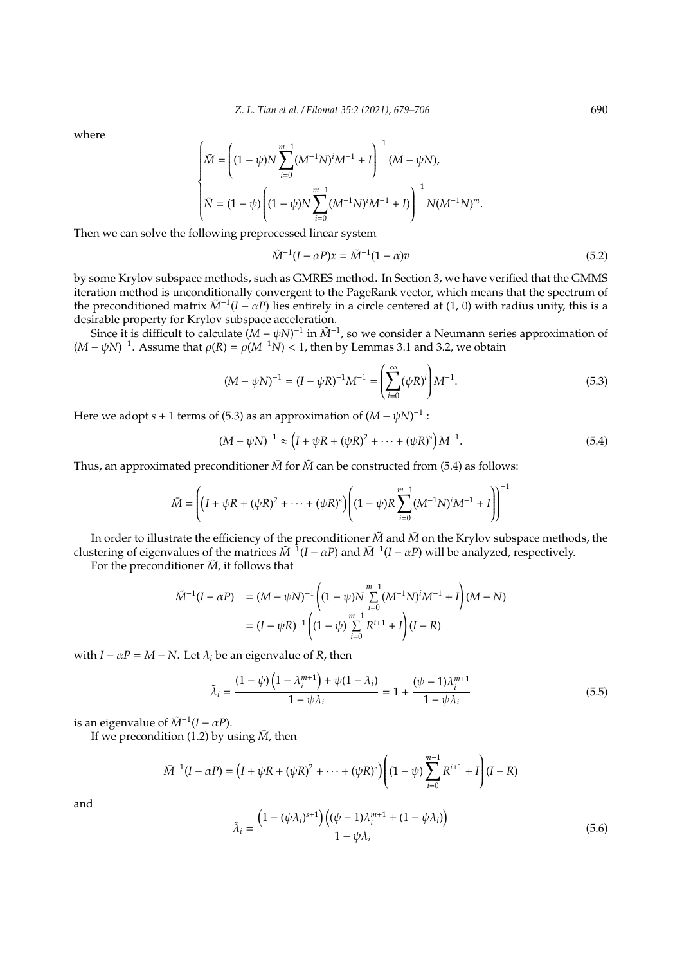where

$$
\begin{cases} \tilde{M} = \left( (1 - \psi) N \sum_{i=0}^{m-1} (M^{-1}N)^i M^{-1} + I \right)^{-1} (M - \psi N), \\ \tilde{N} = (1 - \psi) \left( (1 - \psi) N \sum_{i=0}^{m-1} (M^{-1}N)^i M^{-1} + I \right)^{-1} N (M^{-1}N)^m. \end{cases}
$$

Then we can solve the following preprocessed linear system

$$
\tilde{M}^{-1}(I - \alpha P)x = \tilde{M}^{-1}(1 - \alpha)v
$$
\n(5.2)

by some Krylov subspace methods, such as GMRES method. In Section 3, we have verified that the GMMS iteration method is unconditionally convergent to the PageRank vector, which means that the spectrum of the preconditioned matrix  $\tilde{M}^{-1}(I - \alpha P)$  lies entirely in a circle centered at (1, 0) with radius unity, this is a desirable property for Krylov subspace acceleration.

Since it is difficult to calculate  $(M - \psi N)^{-1}$  in  $\tilde{M}^{-1}$ , so we consider a Neumann series approximation of  $(M - \psi N)^{-1}$ . Assume that  $\rho(R) = \rho(M^{-1}N) < 1$ , then by Lemmas 3.1 and 3.2, we obtain

$$
(M - \psi N)^{-1} = (I - \psi R)^{-1} M^{-1} = \left(\sum_{i=0}^{\infty} (\psi R)^i\right) M^{-1}.
$$
 (5.3)

Here we adopt *s* + 1 terms of (5.3) as an approximation of  $(M - \psi N)^{-1}$ :

$$
(M - \psi N)^{-1} \approx (I + \psi R + (\psi R)^2 + \dots + (\psi R)^s) M^{-1}.
$$
 (5.4)

Thus, an approximated preconditioner  $\overline{M}$  for  $\tilde{M}$  can be constructed from (5.4) as follows:

$$
\bar{M} = \left( \left( I + \psi R + (\psi R)^2 + \dots + (\psi R)^s \right) \left( (1 - \psi) R \sum_{i=0}^{m-1} (M^{-1} N)^i M^{-1} + I \right) \right)^{-1}
$$

In order to illustrate the efficiency of the preconditioner  $\tilde{M}$  and  $\bar{M}$  on the Krylov subspace methods, the clustering of eigenvalues of the matrices  $\tilde{M}^{-1}(I - \alpha P)$  and  $\bar{M}^{-1}(I - \alpha P)$  will be analyzed, respectively.

For the preconditioner  $\tilde{M}$ , it follows that

$$
\tilde{M}^{-1}(I - \alpha P) = (M - \psi N)^{-1} \left( (1 - \psi) N \sum_{i=0}^{m-1} (M^{-1} N)^i M^{-1} + I \right) (M - N)
$$

$$
= (I - \psi R)^{-1} \left( (1 - \psi) \sum_{i=0}^{m-1} R^{i+1} + I \right) (I - R)
$$

with  $I - \alpha P = M - N$ . Let  $\lambda_i$  be an eigenvalue of *R*, then

$$
\tilde{\lambda}_i = \frac{(1 - \psi) \left(1 - \lambda_i^{m+1}\right) + \psi(1 - \lambda_i)}{1 - \psi \lambda_i} = 1 + \frac{(\psi - 1)\lambda_i^{m+1}}{1 - \psi \lambda_i}
$$
\n(5.5)

is an eigenvalue of  $\tilde{M}^{-1}(I - \alpha P)$ .

If we precondition (1.2) by using  $\overline{M}$ , then

$$
\bar{M}^{-1}(I - \alpha P) = (I + \psi R + (\psi R)^2 + \dots + (\psi R)^s) \left( (1 - \psi) \sum_{i=0}^{m-1} R^{i+1} + I \right) (I - R)
$$

and

$$
\hat{\lambda}_i = \frac{\left(1 - (\psi \lambda_i)^{s+1}\right) \left((\psi - 1)\lambda_i^{m+1} + (1 - \psi \lambda_i)\right)}{1 - \psi \lambda_i} \tag{5.6}
$$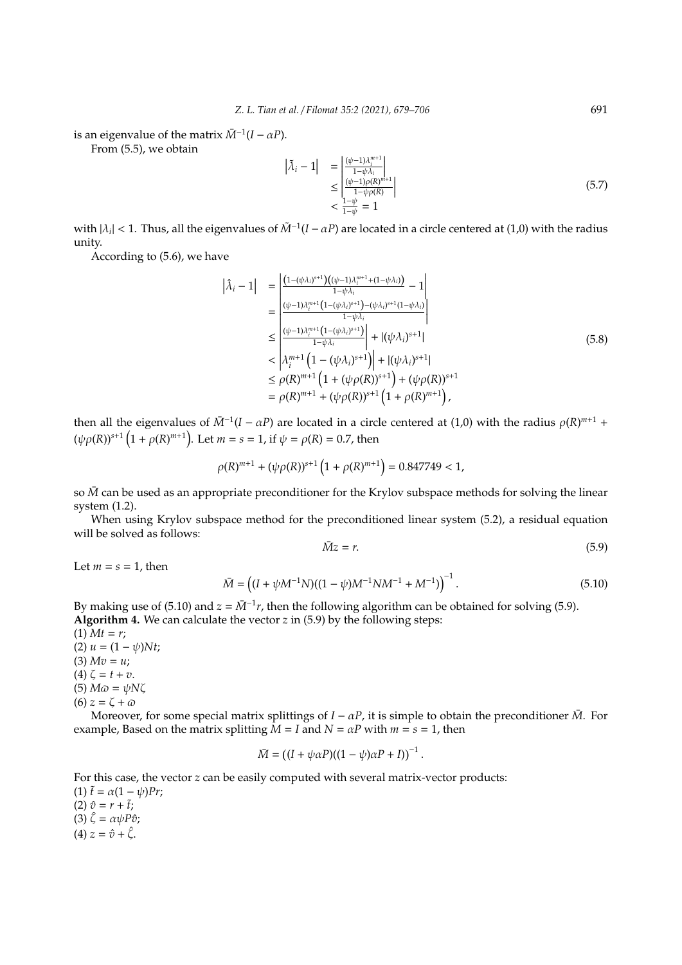is an eigenvalue of the matrix  $\bar{M}^{-1}(I - \alpha P)$ .

From (5.5), we obtain

$$
\left|\tilde{\lambda}_{i}-1\right| = \left|\frac{\left(\psi-1\right)\lambda_{i}^{m+1}}{1-\psi\lambda_{i}}\right|
$$
\n
$$
\leq \left|\frac{\left(\psi-1\right)\rho(R)^{m+1}}{1-\psi\rho(R)}\right|
$$
\n
$$
< \frac{1-\psi}{1-\psi} = 1
$$
\n(5.7)

with  $|\lambda_i|$  < 1. Thus, all the eigenvalues of  $\tilde{M}^{-1}(I - \alpha P)$  are located in a circle centered at (1,0) with the radius unity.

According to (5.6), we have

$$
|\lambda_{i} - 1| = \frac{\left| \frac{(1 - (\psi \lambda_{i})^{s+1})((\psi - 1)\lambda_{i}^{m+1} + (1 - \psi \lambda_{i}))}{1 - \psi \lambda_{i}} - 1 \right|}{\frac{(\psi - 1)\lambda_{i}^{m+1}(1 - (\psi \lambda_{i})^{s+1}) - (\psi \lambda_{i})^{s+1}(1 - \psi \lambda_{i})}{1 - \psi \lambda_{i}}} \right|
$$
  
\n
$$
\leq \frac{\left| \frac{(\psi - 1)\lambda_{i}^{m+1}(1 - (\psi \lambda_{i})^{s+1})}{1 - \psi \lambda_{i}} \right| + |(\psi \lambda_{i})^{s+1}|}{\lambda_{i}^{m+1}(1 - (\psi \lambda_{i})^{s+1})| + |(\psi \lambda_{i})^{s+1}|}
$$
  
\n
$$
\leq \rho(R)^{m+1}(1 + (\psi \rho(R))^{s+1}) + (\psi \rho(R))^{s+1}
$$
  
\n
$$
= \rho(R)^{m+1} + (\psi \rho(R))^{s+1}(1 + \rho(R)^{m+1}),
$$
\n(5.8)

then all the eigenvalues of  $\bar{M}^{-1}(I - \alpha P)$  are located in a circle centered at (1,0) with the radius  $\rho(R)^{m+1}$  +  $(\psi \rho(R))^{s+1} (1 + \rho(R)^{m+1})$ . Let  $m = s = 1$ , if  $\psi = \rho(R) = 0.7$ , then

$$
\rho(R)^{m+1} + (\psi \rho(R))^{s+1} \left(1 + \rho(R)^{m+1}\right) = 0.847749 < 1,
$$

so  $\bar{M}$  can be used as an appropriate preconditioner for the Krylov subspace methods for solving the linear system (1.2).

When using Krylov subspace method for the preconditioned linear system (5.2), a residual equation will be solved as follows:

$$
\bar{M}z = r.\tag{5.9}
$$

Let  $m = s = 1$ , then

$$
\bar{M} = ((I + \psi M^{-1}N)((1 - \psi)M^{-1}NM^{-1} + M^{-1}))^{-1}.
$$
\n(5.10)

.

By making use of (5.10) and  $z = \overline{M}^{-1}r$ , then the following algorithm can be obtained for solving (5.9). **Algorithm 4.** We can calculate the vector *z* in (5.9) by the following steps:

 $(1)$  *Mt* = *r*; (2)  $u = (1 - \psi)Nt$ ;  $(3)$   $Mv = u$ ; (4)  $\zeta = t + v$ .  $(5)$   $M\omega = \psi N\zeta$  $(6) z = \zeta + \omega$ 

Moreover, for some special matrix splittings of  $I - \alpha P$ , it is simple to obtain the preconditioner  $\bar{M}$ . For example, Based on the matrix splitting  $\overline{M} = I$  and  $N = \alpha P$  with  $m = s = 1$ , then

$$
\bar{M} = ((I + \psi \alpha P)((1 - \psi)\alpha P + I))^{-1}
$$

For this case, the vector *z* can be easily computed with several matrix-vector products: (1)  $\tilde{t} = \alpha(1 - \psi)Pr$ ;  $(2) \hat{v} = r + \tilde{t}$ ; (3)  $\hat{\zeta} = \alpha \psi P \hat{v}$ ;  $(4) z = \hat{v} + \hat{\zeta}.$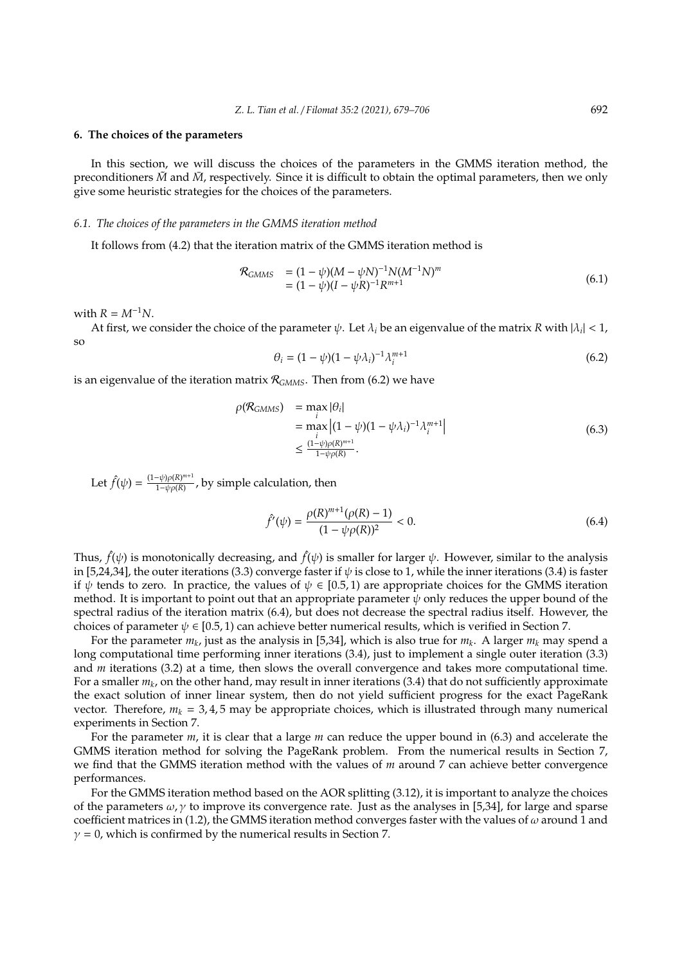#### **6. The choices of the parameters**

In this section, we will discuss the choices of the parameters in the GMMS iteration method, the preconditioners  $\tilde{M}$  and  $\tilde{M}$ , respectively. Since it is difficult to obtain the optimal parameters, then we only give some heuristic strategies for the choices of the parameters.

#### *6.1. The choices of the parameters in the GMMS iteration method*

It follows from (4.2) that the iteration matrix of the GMMS iteration method is

$$
\mathcal{R}_{GMMS} = (1 - \psi)(M - \psi N)^{-1} N (M^{-1} N)^m
$$
  
=  $(1 - \psi)(I - \psi R)^{-1} R^{m+1}$  (6.1)

with  $R = M^{-1}N$ .

At first, we consider the choice of the parameter  $\psi$ . Let  $\lambda_i$  be an eigenvalue of the matrix *R* with  $|\lambda_i|$  < 1, so

$$
\theta_i = (1 - \psi)(1 - \psi \lambda_i)^{-1} \lambda_i^{m+1}
$$
\n(6.2)

is an eigenvalue of the iteration matrix  $\mathcal{R}_{\text{GMMS}}$ . Then from (6.2) we have

$$
\rho(\mathcal{R}_{GMMS}) = \max_{i} |\theta_i|
$$
  
= 
$$
\max_{i} |(1 - \psi)(1 - \psi \lambda_i)^{-1} \lambda_i^{m+1}|
$$
  
\$\leq \frac{(1 - \psi)\rho(R)^{m+1}}{1 - \psi \rho(R)}. \tag{6.3}

Let  $\hat{f}(\psi) = \frac{(1-\psi)\rho(R)^{m+1}}{1-\psi\rho(R)}$ 1−ψρ(*R*) , by simple calculation, then

$$
\hat{f}'(\psi) = \frac{\rho(R)^{m+1}(\rho(R) - 1)}{(1 - \psi \rho(R))^2} < 0. \tag{6.4}
$$

Thus,  $\hat{f}(\psi)$  is monotonically decreasing, and  $\hat{f}(\psi)$  is smaller for larger  $\psi$ . However, similar to the analysis in [5,24,34], the outer iterations (3.3) converge faster if  $\psi$  is close to 1, while the inner iterations (3.4) is faster if  $\psi$  tends to zero. In practice, the values of  $\psi \in [0.5, 1)$  are appropriate choices for the GMMS iteration method. It is important to point out that an appropriate parameter  $\psi$  only reduces the upper bound of the spectral radius of the iteration matrix (6.4), but does not decrease the spectral radius itself. However, the choices of parameter  $\psi \in [0.5, 1)$  can achieve better numerical results, which is verified in Section 7.

For the parameter *m<sup>k</sup>* , just as the analysis in [5,34], which is also true for *m<sup>k</sup>* . A larger *m<sup>k</sup>* may spend a long computational time performing inner iterations (3.4), just to implement a single outer iteration (3.3) and *m* iterations (3.2) at a time, then slows the overall convergence and takes more computational time. For a smaller *m<sup>k</sup>* , on the other hand, may result in inner iterations (3.4) that do not sufficiently approximate the exact solution of inner linear system, then do not yield sufficient progress for the exact PageRank vector. Therefore,  $m_k = 3, 4, 5$  may be appropriate choices, which is illustrated through many numerical experiments in Section 7.

For the parameter *m*, it is clear that a large *m* can reduce the upper bound in (6.3) and accelerate the GMMS iteration method for solving the PageRank problem. From the numerical results in Section 7, we find that the GMMS iteration method with the values of *m* around 7 can achieve better convergence performances.

For the GMMS iteration method based on the AOR splitting (3.12), it is important to analyze the choices of the parameters  $\omega$ ,  $\gamma$  to improve its convergence rate. Just as the analyses in [5,34], for large and sparse coefficient matrices in (1.2), the GMMS iteration method converges faster with the values of  $\omega$  around 1 and  $\gamma = 0$ , which is confirmed by the numerical results in Section 7.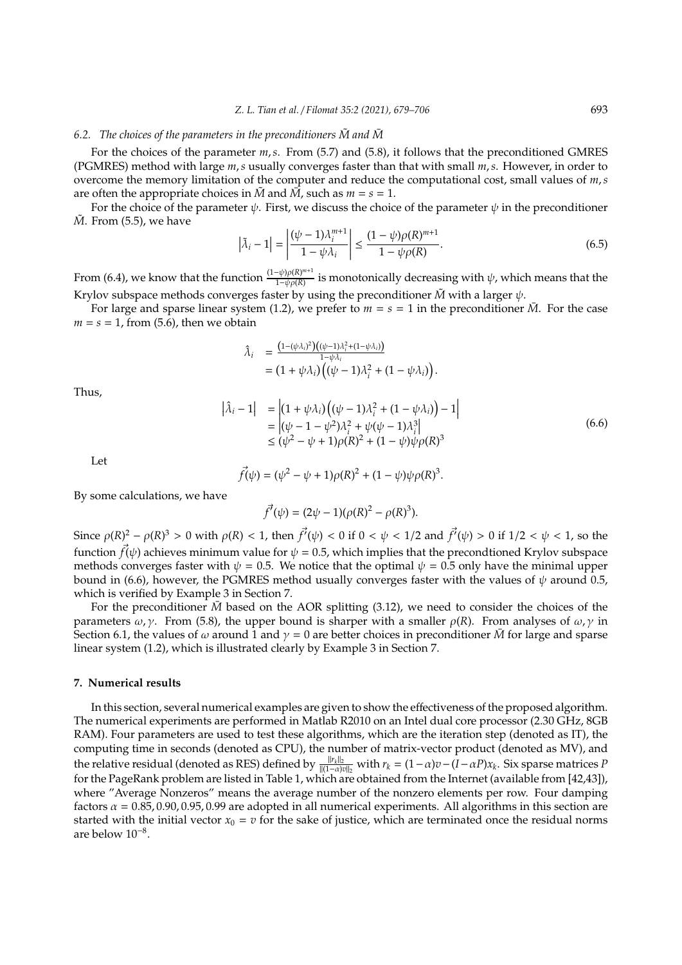## *6.2.* The choices of the parameters in the preconditioners  $\tilde{M}$  and  $\tilde{M}$

For the choices of the parameter *m*,*s*. From (5.7) and (5.8), it follows that the preconditioned GMRES (PGMRES) method with large *m*,*s* usually converges faster than that with small *m*,*s*. However, in order to overcome the memory limitation of the computer and reduce the computational cost, small values of *m*,*s* are often the appropriate choices in  $\tilde{M}$  and  $\tilde{M}$ , such as  $m = s = 1$ .

For the choice of the parameter  $\psi$ . First, we discuss the choice of the parameter  $\psi$  in the preconditioner *M*. From (5.5), we have

$$
\left|\tilde{\lambda}_{i} - 1\right| = \left|\frac{(\psi - 1)\lambda_{i}^{m+1}}{1 - \psi\lambda_{i}}\right| \le \frac{(1 - \psi)\rho(R)^{m+1}}{1 - \psi\rho(R)}.\tag{6.5}
$$

From (6.4), we know that the function  $\frac{(1-\psi)\rho(R)^{m+1}}{1-\psi\sigma(R)}$  $\frac{1-\psi \rho(R)}{1-\psi \rho(R)}$  is monotonically decreasing with  $\psi$ , which means that the Krylov subspace methods converges faster by using the preconditioner  $\tilde{M}$  with a larger  $\psi$ .

For large and sparse linear system (1.2), we prefer to  $m = s = 1$  in the preconditioner  $\overline{M}$ . For the case  $m = s = 1$ , from (5.6), then we obtain

$$
\begin{array}{ll} \hat{\lambda}_i & = \frac{\left(1 - (\psi \lambda_i)^2\right) \left((\psi - 1)\lambda_i^2 + (1 - \psi \lambda_i)\right)}{1 - \psi \lambda_i} \\ & = \left(1 + \psi \lambda_i\right) \left((\psi - 1)\lambda_i^2 + (1 - \psi \lambda_i)\right). \end{array}
$$

Thus,

$$
\begin{aligned} \left| \hat{\lambda}_i - 1 \right| &= \left| (1 + \psi \lambda_i) \left( (\psi - 1) \lambda_i^2 + (1 - \psi \lambda_i) \right) - 1 \right| \\ &= \left| (\psi - 1 - \psi^2) \lambda_i^2 + \psi (\psi - 1) \lambda_i^3 \right| \\ &\leq (\psi^2 - \psi + 1) \rho(R)^2 + (1 - \psi) \psi \rho(R)^3 \end{aligned} \tag{6.6}
$$

Let

$$
\vec{f}(\psi) = (\psi^2 - \psi + 1)\rho(R)^2 + (1 - \psi)\psi\rho(R)^3.
$$

By some calculations, we have

$$
\vec{f'}(\psi) = (2\psi - 1)(\rho(R)^2 - \rho(R)^3).
$$

Since  $\rho(R)^2 - \rho(R)^3 > 0$  with  $\rho(R) < 1$ , then  $\vec{f'}(\psi) < 0$  if  $0 < \psi < 1/2$  and  $\vec{f'}(\psi) > 0$  if  $1/2 < \psi < 1$ , so the function  $\vec{f}(\psi)$  achieves minimum value for  $\psi = 0.5$ , which implies that the precondtioned Krylov subspace methods converges faster with  $\psi = 0.5$ . We notice that the optimal  $\psi = 0.5$  only have the minimal upper bound in (6.6), however, the PGMRES method usually converges faster with the values of  $\psi$  around 0.5, which is verified by Example 3 in Section 7.

For the preconditioner  $\bar{M}$  based on the AOR splitting (3.12), we need to consider the choices of the parameters  $\omega$ ,  $\gamma$ . From (5.8), the upper bound is sharper with a smaller  $\rho(R)$ . From analyses of  $\omega$ ,  $\gamma$  in Section 6.1, the values of  $\omega$  around 1 and  $\gamma = 0$  are better choices in preconditioner  $\bar{M}$  for large and sparse linear system (1.2), which is illustrated clearly by Example 3 in Section 7.

## **7. Numerical results**

In this section, several numerical examples are given to show the effectiveness of the proposed algorithm. The numerical experiments are performed in Matlab R2010 on an Intel dual core processor (2.30 GHz, 8GB RAM). Four parameters are used to test these algorithms, which are the iteration step (denoted as IT), the computing time in seconds (denoted as CPU), the number of matrix-vector product (denoted as MV), and the relative residual (denoted as RES) defined by  $\frac{||r_k||_2}{||(1-\alpha)v||_2}$  with  $r_k = (1-\alpha)v - (I-\alpha P)x_k$ . Six sparse matrices *P* for the PageRank problem are listed in Table 1, which are obtained from the Internet (available from [42,43]), where "Average Nonzeros" means the average number of the nonzero elements per row. Four damping factors  $\alpha = 0.85, 0.90, 0.95, 0.99$  are adopted in all numerical experiments. All algorithms in this section are started with the initial vector  $x_0 = v$  for the sake of justice, which are terminated once the residual norms are below 10<sup>−</sup><sup>8</sup> .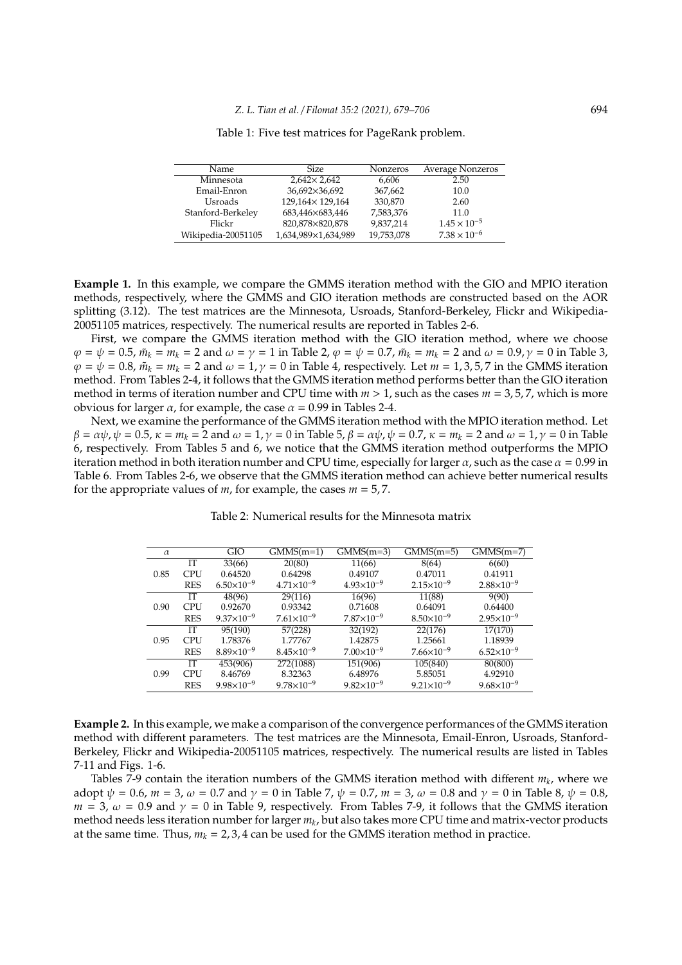| <b>Name</b>        | <b>Size</b>          | <b>Nonzeros</b> | Average Nonzeros      |
|--------------------|----------------------|-----------------|-----------------------|
| Minnesota          | $2,642 \times 2,642$ | 6,606           | 2.50                  |
| Email-Enron        | 36,692×36,692        | 367,662         | 10.0                  |
| Usroads            | 129,164×129,164      | 330,870         | 2.60                  |
| Stanford-Berkeley  | 683,446×683,446      | 7,583,376       | 11.0                  |
| Flickr             | 820,878×820,878      | 9,837,214       | $1.45 \times 10^{-5}$ |
| Wikipedia-20051105 | 1,634,989×1,634,989  | 19,753,078      | $7.38 \times 10^{-6}$ |

Table 1: Five test matrices for PageRank problem.

**Example 1.** In this example, we compare the GMMS iteration method with the GIO and MPIO iteration methods, respectively, where the GMMS and GIO iteration methods are constructed based on the AOR splitting (3.12). The test matrices are the Minnesota, Usroads, Stanford-Berkeley, Flickr and Wikipedia-20051105 matrices, respectively. The numerical results are reported in Tables 2-6.

First, we compare the GMMS iteration method with the GIO iteration method, where we choose  $\varphi = \psi = 0.5$ ,  $\tilde{m}_k = m_k = 2$  and  $\omega = \gamma = 1$  in Table 2,  $\varphi = \psi = 0.7$ ,  $\tilde{m}_k = m_k = 2$  and  $\omega = 0.9$ ,  $\gamma = 0$  in Table 3,  $\varphi = \psi = 0.8$ ,  $\tilde{m}_k = m_k = 2$  and  $\omega = 1$ ,  $\gamma = 0$  in Table 4, respectively. Let  $m = 1, 3, 5, 7$  in the GMMS iteration method. From Tables 2-4, it follows that the GMMS iteration method performs better than the GIO iteration method in terms of iteration number and CPU time with *m* > 1, such as the cases *m* = 3, 5, 7, which is more obvious for larger  $\alpha$ , for example, the case  $\alpha$  = 0.99 in Tables 2-4.

Next, we examine the performance of the GMMS iteration method with the MPIO iteration method. Let  $\beta = \alpha \psi$ ,  $\psi = 0.5$ ,  $\kappa = m_k = 2$  and  $\omega = 1$ ,  $\gamma = 0$  in Table 5,  $\beta = \alpha \psi$ ,  $\psi = 0.7$ ,  $\kappa = m_k = 2$  and  $\omega = 1$ ,  $\gamma = 0$  in Table 6, respectively. From Tables 5 and 6, we notice that the GMMS iteration method outperforms the MPIO iteration method in both iteration number and CPU time, especially for larger  $\alpha$ , such as the case  $\alpha = 0.99$  in Table 6. From Tables 2-6, we observe that the GMMS iteration method can achieve better numerical results for the appropriate values of *m*, for example, the cases *m* = 5, 7.

| $\alpha$ |            | GIO                 | $GMMS(m=1)$           | $GMMS(m=3)$         | $GMMS(m=5)$           | $GMMS(m=7)$           |
|----------|------------|---------------------|-----------------------|---------------------|-----------------------|-----------------------|
|          | IТ         | 33(66)              | 20(80)                | 11(66)              | 8(64)                 | 6(60)                 |
| 0.85     | <b>CPU</b> | 0.64520             | 0.64298               | 0.49107             | 0.47011               | 0.41911               |
|          | <b>RES</b> | $6.50\times10^{-9}$ | $4.71\times10^{-9}$   | $4.93\times10^{-9}$ | $2.15\times10^{-9}$   | $2.88 \times 10^{-9}$ |
|          | IТ         | 48(96)              | 29(116)               | 16(96)              | 11(88)                | 9(90)                 |
| 0.90     | <b>CPU</b> | 0.92670             | 0.93342               | 0.71608             | 0.64091               | 0.64400               |
|          | <b>RES</b> | $9.37\times10^{-9}$ | $7.61\times10^{-9}$   | $7.87\times10^{-9}$ | $8.50\times10^{-9}$   | $2.95\times10^{-9}$   |
|          | IТ         | 95(190)             | 57(228)               | 32(192)             | 22(176)               | 17(170)               |
| 0.95     | <b>CPU</b> | 1.78376             | 1.77767               | 1.42875             | 1.25661               | 1.18939               |
|          | <b>RES</b> | $8.89\times10^{-9}$ | $8.45\times10^{-9}$   | $7.00\times10^{-9}$ | $7.66\times10^{-9}$   | $6.52\times10^{-9}$   |
|          | IТ         | 453(906)            | 272(1088)             | 151(906)            | 105(840)              | 80(800)               |
| 0.99     | <b>CPU</b> | 8.46769             | 8.32363               | 6.48976             | 5.85051               | 4.92910               |
|          | <b>RES</b> | $9.98\times10^{-9}$ | $9.78 \times 10^{-9}$ | $9.82\times10^{-9}$ | $9.21 \times 10^{-9}$ | $9.68\times10^{-9}$   |

Table 2: Numerical results for the Minnesota matrix

**Example 2.** In this example, we make a comparison of the convergence performances of the GMMS iteration method with different parameters. The test matrices are the Minnesota, Email-Enron, Usroads, Stanford-Berkeley, Flickr and Wikipedia-20051105 matrices, respectively. The numerical results are listed in Tables 7-11 and Figs. 1-6.

Tables 7-9 contain the iteration numbers of the GMMS iteration method with different *m<sup>k</sup>* , where we adopt  $\psi = 0.6$ ,  $m = 3$ ,  $\omega = 0.7$  and  $\gamma = 0$  in Table 7,  $\psi = 0.7$ ,  $m = 3$ ,  $\omega = 0.8$  and  $\gamma = 0$  in Table 8,  $\psi = 0.8$ ,  $m = 3$ ,  $\omega = 0.9$  and  $\gamma = 0$  in Table 9, respectively. From Tables 7-9, it follows that the GMMS iteration method needs less iteration number for larger *m<sup>k</sup>* , but also takes more CPU time and matrix-vector products at the same time. Thus,  $m_k = 2,3,4$  can be used for the GMMS iteration method in practice.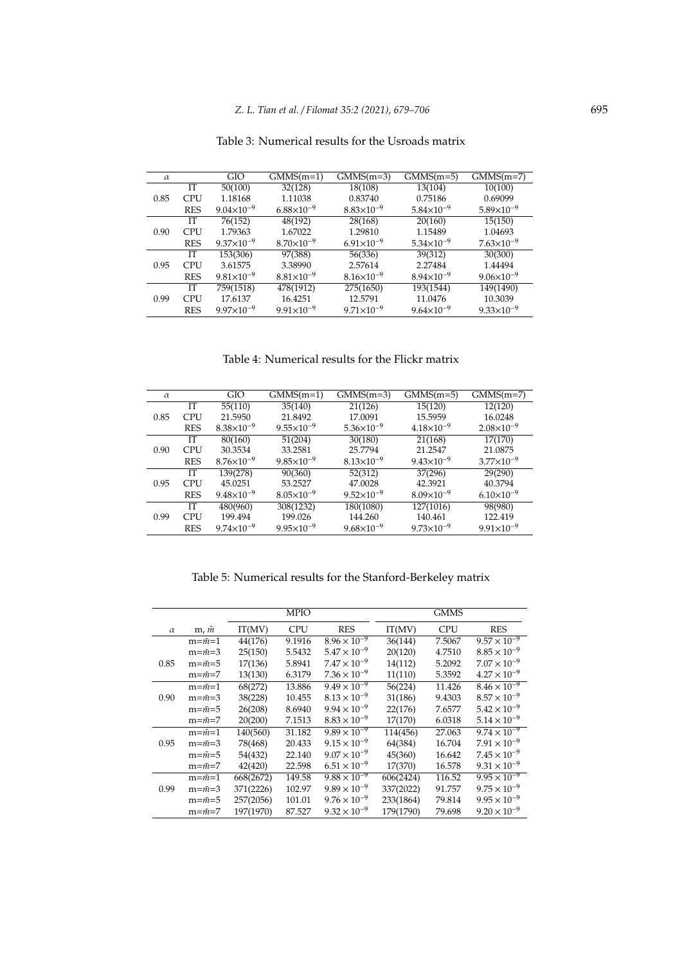| Table 3: Numerical results for the Usroads matrix |
|---------------------------------------------------|
|---------------------------------------------------|

| $\alpha$ |            | GIO                 | $GMMS(m=1)$         | $GMMS(m=3)$           | $GMMS(m=5)$           | $\overline{GMMS}(m=7)$ |
|----------|------------|---------------------|---------------------|-----------------------|-----------------------|------------------------|
|          | IТ         | 50(100)             | 32(128)             | 18(108)               | 13(104)               | 10(100)                |
| 0.85     | <b>CPU</b> | 1.18168             | 1.11038             | 0.83740               | 0.75186               | 0.69099                |
|          | <b>RES</b> | $9.04\times10^{-9}$ | $6.88\times10^{-9}$ | $8.83\times10^{-9}$   | $5.84\times10^{-9}$   | $5.89\times10^{-9}$    |
|          | IТ         | 76(152)             | 48(192)             | 28(168)               | 20(160)               | 15(150)                |
| 0.90     | <b>CPU</b> | 1.79363             | 1.67022             | 1.29810               | 1.15489               | 1.04693                |
|          | <b>RES</b> | $9.37\times10^{-9}$ | $8.70\times10^{-9}$ | $6.91\times10^{-9}$   | $5.34 \times 10^{-9}$ | $7.63\times10^{-9}$    |
|          | <b>TT</b>  | 153(306)            | 97(388)             | 56(336)               | 39(312)               | 30(300)                |
| 0.95     | <b>CPU</b> | 3.61575             | 3.38990             | 2.57614               | 2.27484               | 1.44494                |
|          | <b>RES</b> | $9.81\times10^{-9}$ | $8.81\times10^{-9}$ | $8.16\times10^{-9}$   | $8.94\times10^{-9}$   | $9.06 \times 10^{-9}$  |
|          | IТ         | 759(1518)           | 478(1912)           | 275(1650)             | 193(1544)             | 149(1490)              |
| 0.99     | <b>CPU</b> | 17.6137             | 16.4251             | 12.5791               | 11.0476               | 10.3039                |
|          | <b>RES</b> | $9.97\times10^{-9}$ | $9.91\times10^{-9}$ | $9.71 \times 10^{-9}$ | $9.64\times10^{-9}$   | $9.33 \times 10^{-9}$  |

Table 4: Numerical results for the Flickr matrix

| $\alpha$ |            | GIO                   | $GMMS(m=1)$           | $GMMS(m=3)$           | $GMMS(m=5)$           | $GMMS(m=7)$           |
|----------|------------|-----------------------|-----------------------|-----------------------|-----------------------|-----------------------|
|          | IТ         | 55(110)               | 35(140)               | 21(126)               | 15(120)               | 12(120)               |
| 0.85     | <b>CPU</b> | 21.5950               | 21.8492               | 17.0091               | 15.5959               | 16.0248               |
|          | <b>RES</b> | $8.38\times10^{-9}$   | $9.55 \times 10^{-9}$ | $5.36 \times 10^{-9}$ | $4.18\times10^{-9}$   | $2.08\times10^{-9}$   |
|          | IТ         | 80(160)               | 51(204)               | 30(180)               | 21(168)               | 17(170)               |
| 0.90     | <b>CPU</b> | 30.3534               | 33.2581               | 25.7794               | 21.2547               | 21.0875               |
|          | <b>RES</b> | $8.76 \times 10^{-9}$ | $9.85 \times 10^{-9}$ | $8.13\times10^{-9}$   | $9.43\times10^{-9}$   | $3.77 \times 10^{-9}$ |
|          | IТ         | 139(278)              | 90(360)               | 52(312)               | 37(296)               | 29(290)               |
| 0.95     | <b>CPU</b> | 45.0251               | 53.2527               | 47.0028               | 42.3921               | 40.3794               |
|          | <b>RES</b> | $9.48\times10^{-9}$   | $8.05 \times 10^{-9}$ | $9.52\times10^{-9}$   | $8.09\times10^{-9}$   | $6.10\times10^{-9}$   |
|          | IТ         | 480(960)              | 308(1232)             | 180(1080)             | 127(1016)             | 98(980)               |
| 0.99     | <b>CPU</b> | 199.494               | 199.026               | 144.260               | 140.461               | 122.419               |
|          | <b>RES</b> | $9.74 \times 10^{-9}$ | $9.95 \times 10^{-9}$ | $9.68 \times 10^{-9}$ | $9.73 \times 10^{-9}$ | $9.91 \times 10^{-9}$ |

Table 5: Numerical results for the Stanford-Berkeley matrix

|          |                     |           | <b>MPIO</b> |                       |           | <b>GMMS</b> |                       |
|----------|---------------------|-----------|-------------|-----------------------|-----------|-------------|-----------------------|
| $\alpha$ | m, m                | IT(MV)    | <b>CPU</b>  | <b>RES</b>            | IT(MV)    | <b>CPU</b>  | <b>RES</b>            |
|          | $m=\tilde{m}=1$     | 44(176)   | 9.1916      | $8.96 \times 10^{-9}$ | 36(144)   | 7.5067      | $9.57 \times 10^{-9}$ |
|          | $m=\tilde{m}=3$     | 25(150)   | 5.5432      | $5.47 \times 10^{-9}$ | 20(120)   | 4.7510      | $8.85 \times 10^{-9}$ |
| 0.85     | $m = \tilde{m} = 5$ | 17(136)   | 5.8941      | $7.47 \times 10^{-9}$ | 14(112)   | 5.2092      | $7.07 \times 10^{-9}$ |
|          | $m = \tilde{m} = 7$ | 13(130)   | 6.3179      | $7.36 \times 10^{-9}$ | 11(110)   | 5.3592      | $4.27 \times 10^{-9}$ |
|          | $m = \tilde{m} = 1$ | 68(272)   | 13.886      | $9.49 \times 10^{-9}$ | 56(224)   | 11.426      | $8.46 \times 10^{-9}$ |
| 0.90     | $m=\tilde{m}=3$     | 38(228)   | 10.455      | $8.13 \times 10^{-9}$ | 31(186)   | 9.4303      | $8.57 \times 10^{-9}$ |
|          | $m = \tilde{m} = 5$ | 26(208)   | 8.6940      | $9.94 \times 10^{-9}$ | 22(176)   | 7.6577      | $5.42 \times 10^{-9}$ |
|          | $m = m = 7$         | 20(200)   | 7.1513      | $8.83 \times 10^{-9}$ | 17(170)   | 6.0318      | $5.14 \times 10^{-9}$ |
|          | $m = \tilde{m} = 1$ | 140(560)  | 31.182      | $9.89 \times 10^{-9}$ | 114(456)  | 27.063      | $9.74 \times 10^{-9}$ |
| 0.95     | $m=\tilde{m}=3$     | 78(468)   | 20.433      | $9.15 \times 10^{-9}$ | 64(384)   | 16.704      | $7.91 \times 10^{-9}$ |
|          | $m=\tilde{m}=5$     | 54(432)   | 22.140      | $9.07 \times 10^{-9}$ | 45(360)   | 16.642      | $7.45 \times 10^{-9}$ |
|          | $m = \tilde{m} = 7$ | 42(420)   | 22.598      | $6.51 \times 10^{-9}$ | 17(370)   | 16.578      | $9.31 \times 10^{-9}$ |
|          | $m = \tilde{m} = 1$ | 668(2672) | 149.58      | $9.88 \times 10^{-9}$ | 606(2424) | 116.52      | $9.95 \times 10^{-9}$ |
| 0.99     | $m=\tilde{m}=3$     | 371(2226) | 102.97      | $9.89 \times 10^{-9}$ | 337(2022) | 91.757      | $9.75 \times 10^{-9}$ |
|          | $m = \tilde{m} = 5$ | 257(2056) | 101.01      | $9.76 \times 10^{-9}$ | 233(1864) | 79.814      | $9.95 \times 10^{-9}$ |
|          | $m = \tilde{m} = 7$ | 197(1970) | 87.527      | $9.32 \times 10^{-9}$ | 179(1790) | 79.698      | $9.20 \times 10^{-9}$ |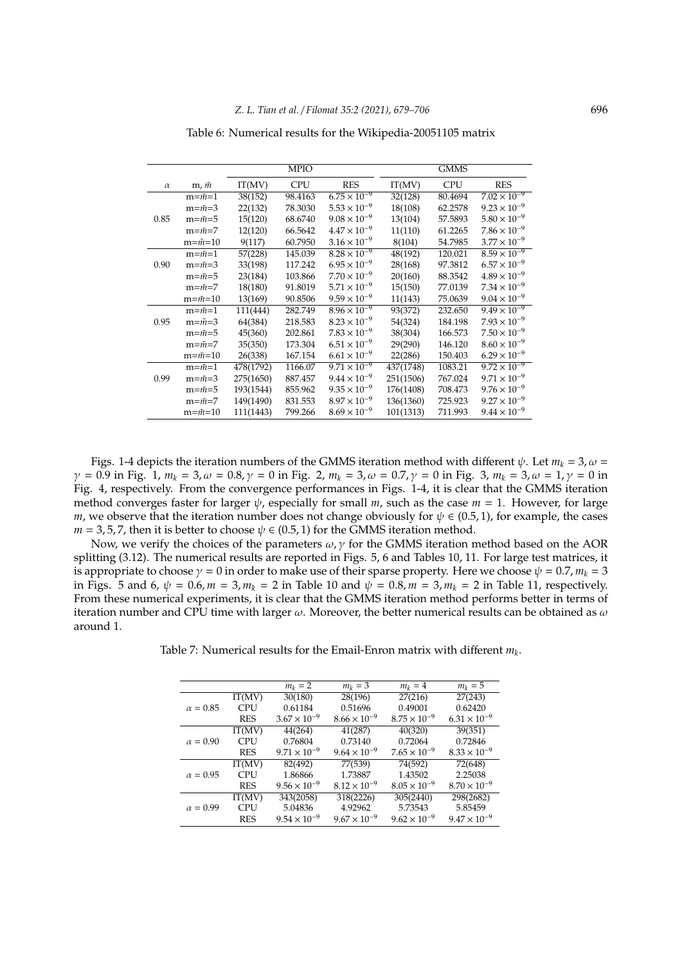|          |                     |           | <b>MPIO</b> |                       |           | <b>GMMS</b> |                       |
|----------|---------------------|-----------|-------------|-----------------------|-----------|-------------|-----------------------|
| $\alpha$ | $m, \tilde{m}$      | IT(MV)    | <b>CPU</b>  | <b>RES</b>            | IT(MV)    | <b>CPU</b>  | <b>RES</b>            |
|          | $m=\tilde{m}=1$     | 38(152)   | 98.4163     | $6.75 \times 10^{-9}$ | 32(128)   | 80.4694     | $7.02 \times 10^{-9}$ |
|          | $m=\tilde{m}=3$     | 22(132)   | 78.3030     | $5.53 \times 10^{-9}$ | 18(108)   | 62.2578     | $9.23 \times 10^{-9}$ |
| 0.85     | $m = \tilde{m} = 5$ | 15(120)   | 68.6740     | $9.08 \times 10^{-9}$ | 13(104)   | 57.5893     | $5.80 \times 10^{-9}$ |
|          | $m = \tilde{m} = 7$ | 12(120)   | 66.5642     | $4.47 \times 10^{-9}$ | 11(110)   | 61.2265     | $7.86 \times 10^{-9}$ |
|          | $m=\tilde{m}=10$    | 9(117)    | 60.7950     | $3.16 \times 10^{-9}$ | 8(104)    | 54.7985     | $3.77 \times 10^{-9}$ |
|          | $m = \tilde{m} = 1$ | 57(228)   | 145.039     | $8.28 \times 10^{-9}$ | 48(192)   | 120.021     | $8.59 \times 10^{-9}$ |
| 0.90     | $m=\tilde{m}=3$     | 33(198)   | 117.242     | $6.95 \times 10^{-9}$ | 28(168)   | 97.3812     | $6.57 \times 10^{-9}$ |
|          | $m = \tilde{m} = 5$ | 23(184)   | 103.866     | $7.70 \times 10^{-9}$ | 20(160)   | 88.3542     | $4.89 \times 10^{-9}$ |
|          | $m=\tilde{m}=7$     | 18(180)   | 91.8019     | $5.71 \times 10^{-9}$ | 15(150)   | 77.0139     | $7.34 \times 10^{-9}$ |
|          | $m=\tilde{m}=10$    | 13(169)   | 90.8506     | $9.59 \times 10^{-9}$ | 11(143)   | 75.0639     | $9.04 \times 10^{-9}$ |
|          | $m = \tilde{m} = 1$ | 111(444)  | 282.749     | $8.96 \times 10^{-9}$ | 93(372)   | 232.650     | $9.49 \times 10^{-9}$ |
| 0.95     | $m=\tilde{m}=3$     | 64(384)   | 218.583     | $8.23 \times 10^{-9}$ | 54(324)   | 184.198     | $7.93 \times 10^{-9}$ |
|          | $m = \tilde{m} = 5$ | 45(360)   | 202.861     | $7.83 \times 10^{-9}$ | 38(304)   | 166.573     | $7.50 \times 10^{-9}$ |
|          | $m=\tilde{m}=7$     | 35(350)   | 173.304     | $6.51 \times 10^{-9}$ | 29(290)   | 146.120     | $8.60 \times 10^{-9}$ |
|          | $m=\tilde{m}=10$    | 26(338)   | 167.154     | $6.61 \times 10^{-9}$ | 22(286)   | 150.403     | $6.29 \times 10^{-9}$ |
|          | $m=\tilde{m}=1$     | 478(1792) | 1166.07     | $9.71 \times 10^{-9}$ | 437(1748) | 1083.21     | $9.72 \times 10^{-9}$ |
| 0.99     | $m=\tilde{m}=3$     | 275(1650) | 887.457     | $9.44 \times 10^{-9}$ | 251(1506) | 767.024     | $9.71 \times 10^{-9}$ |
|          | $m=\tilde{m}=5$     | 193(1544) | 855.962     | $9.35 \times 10^{-9}$ | 176(1408) | 708.473     | $9.76 \times 10^{-9}$ |
|          | $m = \tilde{m} = 7$ | 149(1490) | 831.553     | $8.97 \times 10^{-9}$ | 136(1360) | 725.923     | $9.27 \times 10^{-9}$ |
|          | $m=\tilde{m}=10$    | 111(1443) | 799.266     | $8.69 \times 10^{-9}$ | 101(1313) | 711.993     | $9.44 \times 10^{-9}$ |

Table 6: Numerical results for the Wikipedia-20051105 matrix

Figs. 1-4 depicts the iteration numbers of the GMMS iteration method with different  $\psi$ . Let  $m_k = 3$ ,  $\omega =$ γ = 0.9 in Fig. 1, *m<sup>k</sup>* = 3, ω = 0.8, γ = 0 in Fig. 2, *m<sup>k</sup>* = 3, ω = 0.7, γ = 0 in Fig. 3, *m<sup>k</sup>* = 3, ω = 1, γ = 0 in Fig. 4, respectively. From the convergence performances in Figs. 1-4, it is clear that the GMMS iteration method converges faster for larger  $\psi$ , especially for small *m*, such as the case  $m = 1$ . However, for large *m*, we observe that the iteration number does not change obviously for  $\psi \in (0.5, 1)$ , for example, the cases  $m = 3, 5, 7$ , then it is better to choose  $\psi \in (0.5, 1)$  for the GMMS iteration method.

Now, we verify the choices of the parameters  $\omega$ ,  $\gamma$  for the GMMS iteration method based on the AOR splitting (3.12). The numerical results are reported in Figs. 5, 6 and Tables 10, 11. For large test matrices, it is appropriate to choose  $\gamma = 0$  in order to make use of their sparse property. Here we choose  $\psi = 0.7$ ,  $m_k = 3$ in Figs. 5 and 6,  $\psi = 0.6$ ,  $m = 3$ ,  $m_k = 2$  in Table 10 and  $\psi = 0.8$ ,  $m = 3$ ,  $m_k = 2$  in Table 11, respectively. From these numerical experiments, it is clear that the GMMS iteration method performs better in terms of iteration number and CPU time with larger  $\omega$ . Moreover, the better numerical results can be obtained as  $\omega$ around 1.

Table 7: Numerical results for the Email-Enron matrix with different *m<sup>k</sup>* .

|                 |            | $m_k = 2$             | $m_k = 3$             | $m_k = 4$             | $m_k = 5$             |
|-----------------|------------|-----------------------|-----------------------|-----------------------|-----------------------|
|                 | IT(MV)     | 30(180)               | 28(196)               | 27(216)               | 27(243)               |
| $\alpha = 0.85$ | <b>CPU</b> | 0.61184               | 0.51696               | 0.49001               | 0.62420               |
|                 | <b>RES</b> | $3.67 \times 10^{-9}$ | $8.66 \times 10^{-9}$ | $8.75 \times 10^{-9}$ | $6.31 \times 10^{-9}$ |
|                 | IT(MV)     | 44(264)               | 41(287)               | 40(320)               | 39(351)               |
| $\alpha = 0.90$ | <b>CPU</b> | 0.76804               | 0.73140               | 0.72064               | 0.72846               |
|                 | <b>RES</b> | $9.71 \times 10^{-9}$ | $9.64 \times 10^{-9}$ | $7.65 \times 10^{-9}$ | $8.33 \times 10^{-9}$ |
|                 | IT(MV)     | 82(492)               | 77(539)               | 74(592)               | 72(648)               |
| $\alpha = 0.95$ | <b>CPU</b> | 1.86866               | 1.73887               | 1.43502               | 2.25038               |
|                 | <b>RES</b> | $9.56 \times 10^{-9}$ | $8.12 \times 10^{-9}$ | $8.05 \times 10^{-9}$ | $8.70 \times 10^{-9}$ |
|                 | IT(MV)     | 343(2058)             | 318(2226)             | 305(2440)             | 298(2682)             |
| $\alpha = 0.99$ | <b>CPU</b> | 5.04836               | 4.92962               | 5.73543               | 5.85459               |
|                 | <b>RES</b> | $9.54 \times 10^{-9}$ | $9.67 \times 10^{-9}$ | $9.62 \times 10^{-9}$ | $9.47 \times 10^{-9}$ |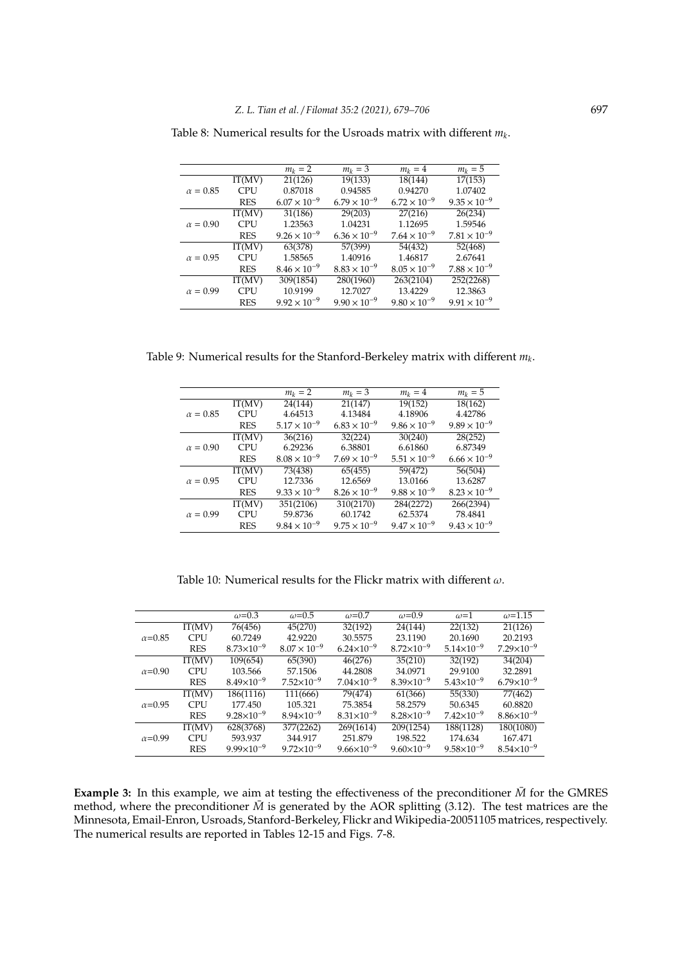|                 |            | $m_k = 2$             | $m_k = 3$             | $m_k = 4$             | $m_k = 5$             |
|-----------------|------------|-----------------------|-----------------------|-----------------------|-----------------------|
|                 | IT(MV)     | 21(126)               | 19(133)               | 18(144)               | 17(153)               |
| $\alpha = 0.85$ | <b>CPU</b> | 0.87018               | 0.94585               | 0.94270               | 1.07402               |
|                 | <b>RES</b> | $6.07 \times 10^{-9}$ | $6.79 \times 10^{-9}$ | $6.72 \times 10^{-9}$ | $9.35 \times 10^{-9}$ |
|                 | IT(MV)     | 31(186)               | 29(203)               | 27(216)               | 26(234)               |
| $\alpha = 0.90$ | <b>CPU</b> | 1.23563               | 1.04231               | 1.12695               | 1.59546               |
|                 | <b>RES</b> | $9.26 \times 10^{-9}$ | $6.36 \times 10^{-9}$ | $7.64 \times 10^{-9}$ | $7.81 \times 10^{-9}$ |
|                 | IT(MV)     | 63(378)               | 57(399)               | 54(432)               | 52(468)               |
| $\alpha = 0.95$ | <b>CPU</b> | 1.58565               | 1.40916               | 1.46817               | 2.67641               |
|                 | <b>RES</b> | $8.46 \times 10^{-9}$ | $8.83 \times 10^{-9}$ | $8.05 \times 10^{-9}$ | $7.88 \times 10^{-9}$ |
|                 | IT(MV)     | 309(1854)             | 280(1960)             | 263(2104)             | 252(2268)             |
| $\alpha = 0.99$ | <b>CPU</b> | 10.9199               | 12.7027               | 13.4229               | 12.3863               |
|                 | <b>RES</b> | $9.92 \times 10^{-9}$ | $9.90 \times 10^{-9}$ | $9.80 \times 10^{-9}$ | $9.91 \times 10^{-9}$ |

Table 8: Numerical results for the Usroads matrix with different *m<sup>k</sup>* .

Table 9: Numerical results for the Stanford-Berkeley matrix with different *m<sup>k</sup>* .

|                 |            | $m_k = 2$             | $m_k = 3$             | $m_k = 4$             | $m_k = 5$             |
|-----------------|------------|-----------------------|-----------------------|-----------------------|-----------------------|
|                 | IT(MV)     | 24(144)               | 21(147)               | 19(152)               | 18(162)               |
| $\alpha = 0.85$ | <b>CPU</b> | 4.64513               | 4.13484               | 4.18906               | 4.42786               |
|                 | <b>RES</b> | $5.17 \times 10^{-9}$ | $6.83 \times 10^{-9}$ | $9.86 \times 10^{-9}$ | $9.89 \times 10^{-9}$ |
|                 | IT(MV)     | 36(216)               | 32(224)               | 30(240)               | 28(252)               |
| $\alpha = 0.90$ | <b>CPU</b> | 6.29236               | 6.38801               | 6.61860               | 6.87349               |
|                 | <b>RES</b> | $8.08 \times 10^{-9}$ | $7.69 \times 10^{-9}$ | $5.51 \times 10^{-9}$ | $6.66 \times 10^{-9}$ |
|                 | IT(MV)     | 73(438)               | 65(455)               | 59(472)               | 56(504)               |
| $\alpha = 0.95$ | <b>CPU</b> | 12.7336               | 12.6569               | 13.0166               | 13.6287               |
|                 | <b>RES</b> | $9.33 \times 10^{-9}$ | $8.26 \times 10^{-9}$ | $9.88 \times 10^{-9}$ | $8.23 \times 10^{-9}$ |
|                 | IT(MV)     | 351(2106)             | 310(2170)             | 284(2272)             | 266(2394)             |
| $\alpha = 0.99$ | <b>CPU</b> | 59.8736               | 60.1742               | 62.5374               | 78.4841               |
|                 | <b>RES</b> | $9.84 \times 10^{-9}$ | $9.75 \times 10^{-9}$ | $9.47 \times 10^{-9}$ | $9.43 \times 10^{-9}$ |

Table 10: Numerical results for the Flickr matrix with different  $\omega$ .

|                 |            | $\omega$ =0.3         | $\omega$ =0.5         | $\omega$ =0.7         | $\omega$ =0.9         | $\omega$ =1           | $\omega = 1.15$       |
|-----------------|------------|-----------------------|-----------------------|-----------------------|-----------------------|-----------------------|-----------------------|
|                 | IT(MV)     | 76(456)               | 45(270)               | 32(192)               | 24(144)               | 22(132)               | 21(126)               |
| $\alpha$ =0.85  | CPU        | 60.7249               | 42.9220               | 30.5575               | 23.1190               | 20.1690               | 20.2193               |
|                 | <b>RES</b> | $8.73 \times 10^{-9}$ | $8.07 \times 10^{-9}$ | $6.24 \times 10^{-9}$ | $8.72\times10^{-9}$   | $5.14\times10^{-9}$   | $7.29\times10^{-9}$   |
|                 | IT(MV)     | 109(654)              | 65(390)               | 46(276)               | 35(210)               | 32(192)               | 34(204)               |
| $\alpha$ =0.90  | <b>CPU</b> | 103.566               | 57.1506               | 44.2808               | 34.0971               | 29.9100               | 32.2891               |
|                 | <b>RES</b> | $8.49\times10^{-9}$   | $7.52\times10^{-9}$   | $7.04\times10^{-9}$   | $8.39\times10^{-9}$   | $5.43\times10^{-9}$   | $6.79 \times 10^{-9}$ |
|                 | IT(MV)     | 186(1116)             | 111(666)              | 79(474)               | 61(366)               | 55(330)               | 77(462)               |
| $\alpha = 0.95$ | <b>CPU</b> | 177.450               | 105.321               | 75.3854               | 58.2579               | 50.6345               | 60.8820               |
|                 | <b>RES</b> | $9.28 \times 10^{-9}$ | $8.94 \times 10^{-9}$ | $8.31\times10^{-9}$   | $8.28 \times 10^{-9}$ | $7.42\times10^{-9}$   | $8.86 \times 10^{-9}$ |
|                 | IT(MV)     | 628(3768)             | 377(2262)             | 269(1614)             | 209(1254)             | 188(1128)             | 180(1080)             |
| $\alpha$ =0.99  | <b>CPU</b> | 593.937               | 344.917               | 251.879               | 198.522               | 174.634               | 167.471               |
|                 | <b>RES</b> | $9.99 \times 10^{-9}$ | $9.72\times10^{-9}$   | $9.66 \times 10^{-9}$ | $9.60\times10^{-9}$   | $9.58 \times 10^{-9}$ | $8.54\times10^{-9}$   |

**Example 3:** In this example, we aim at testing the effectiveness of the preconditioner  $\bar{M}$  for the GMRES method, where the preconditioner  $\bar{M}$  is generated by the AOR splitting (3.12). The test matrices are the Minnesota, Email-Enron, Usroads, Stanford-Berkeley, Flickr and Wikipedia-20051105 matrices, respectively. The numerical results are reported in Tables 12-15 and Figs. 7-8.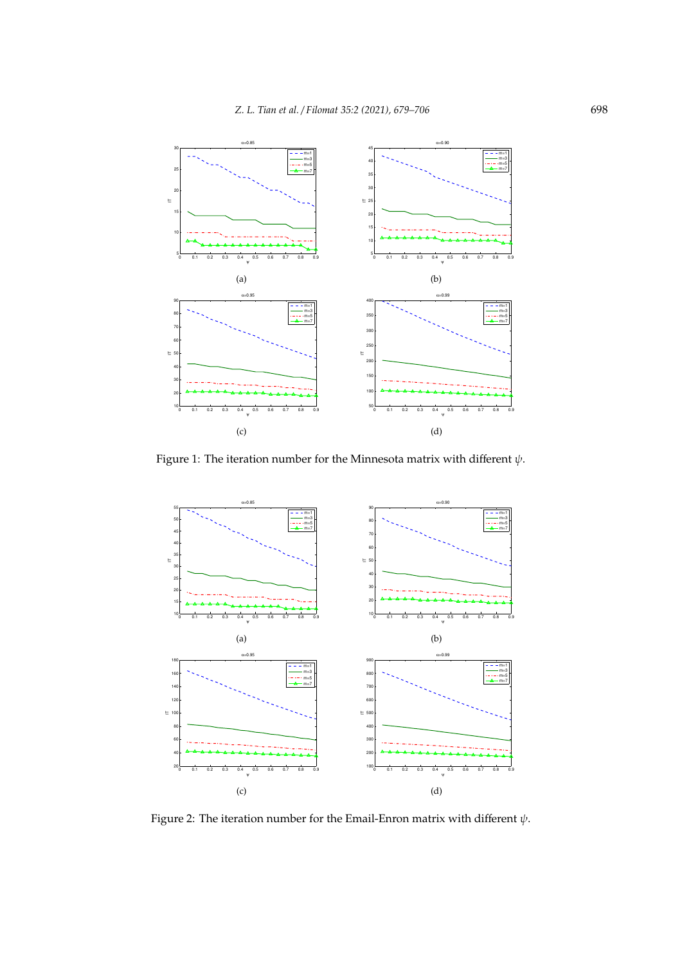

Figure 1: The iteration number for the Minnesota matrix with different  $\psi$ .



Figure 2: The iteration number for the Email-Enron matrix with different  $\psi$ .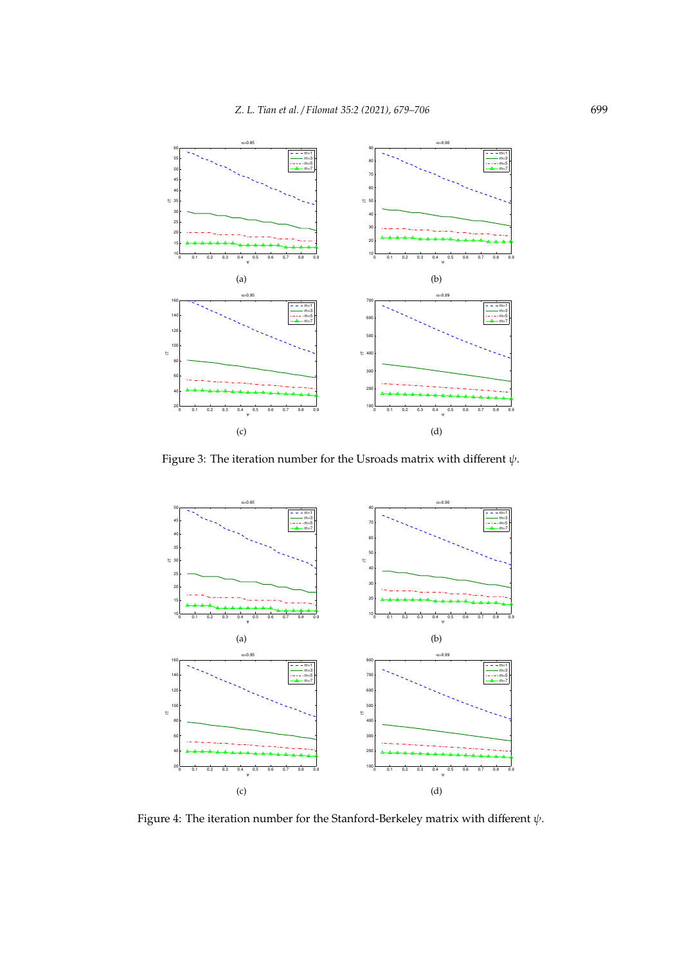

Figure 3: The iteration number for the Usroads matrix with different  $\psi$ .



Figure 4: The iteration number for the Stanford-Berkeley matrix with different  $\psi$ .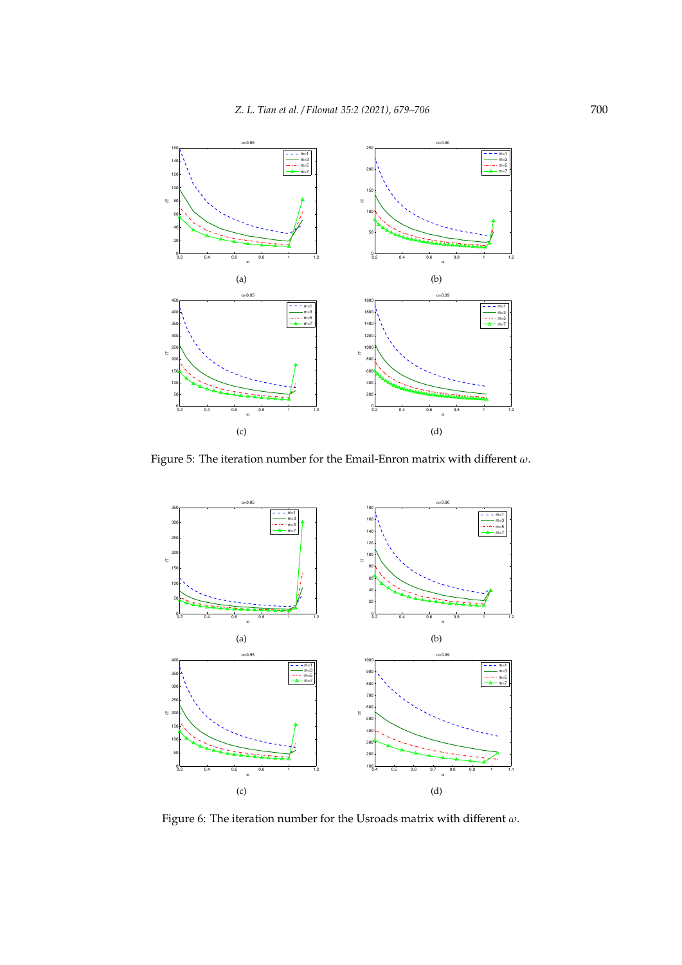

Figure 5: The iteration number for the Email-Enron matrix with different  $\omega$ .



Figure 6: The iteration number for the Usroads matrix with different  $\omega$ .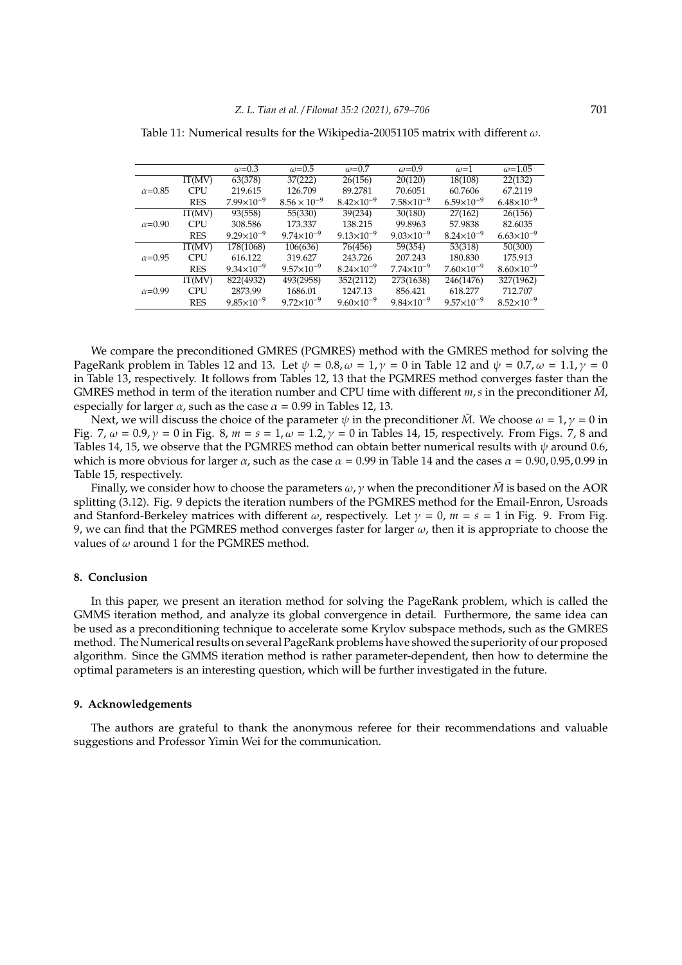|                 |            | $\omega$ =0.3         | $\omega$ =0.5         | $\omega$ =0.7         | $\omega$ =0.9       | $\omega$ =1           | $\omega = 1.05$     |
|-----------------|------------|-----------------------|-----------------------|-----------------------|---------------------|-----------------------|---------------------|
|                 | IT(MV)     | 63(378)               | 37(222)               | 26(156)               | 20(120)             | 18(108)               | 22(132)             |
| $\alpha = 0.85$ | CPU        | 219.615               | 126.709               | 89.2781               | 70.6051             | 60.7606               | 67.2119             |
|                 | <b>RES</b> | $7.99\times10^{-9}$   | $8.56 \times 10^{-9}$ | $8.42\times10^{-9}$   | $7.58\times10^{-9}$ | $6.59\times10^{-9}$   | $6.48\times10^{-9}$ |
|                 | IT(MV)     | 93(558)               | 55(330)               | 39(234)               | 30(180)             | 27(162)               | 26(156)             |
| $\alpha$ =0.90  | CPU        | 308.586               | 173.337               | 138.215               | 99.8963             | 57.9838               | 82.6035             |
|                 | <b>RES</b> | $9.29\times10^{-9}$   | $9.74 \times 10^{-9}$ | $9.13\times10^{-9}$   | $9.03\times10^{-9}$ | $8.24 \times 10^{-9}$ | $6.63\times10^{-9}$ |
|                 | IT(MV)     | 178(1068)             | 106(636)              | 76(456)               | 59(354)             | 53(318)               | 50(300)             |
| $\alpha = 0.95$ | <b>CPU</b> | 616.122               | 319.627               | 243.726               | 207.243             | 180.830               | 175.913             |
|                 | <b>RES</b> | $9.34\times10^{-9}$   | $9.57 \times 10^{-9}$ | $8.24 \times 10^{-9}$ | $7.74\times10^{-9}$ | $7.60\times10^{-9}$   | $8.60\times10^{-9}$ |
|                 | IT(MV)     | 822(4932)             | 493(2958)             | 352(2112)             | 273(1638)           | 246(1476)             | 327(1962)           |
| $\alpha = 0.99$ | <b>CPU</b> | 2873.99               | 1686.01               | 1247.13               | 856.421             | 618.277               | 712.707             |
|                 | <b>RES</b> | $9.85 \times 10^{-9}$ | $9.72 \times 10^{-9}$ | $9.60\times10^{-9}$   | $9.84\times10^{-9}$ | $9.57 \times 10^{-9}$ | $8.52\times10^{-9}$ |

Table 11: Numerical results for the Wikipedia-20051105 matrix with different  $\omega$ .

We compare the preconditioned GMRES (PGMRES) method with the GMRES method for solving the PageRank problem in Tables 12 and 13. Let  $\psi = 0.8$ ,  $\omega = 1$ ,  $\gamma = 0$  in Table 12 and  $\psi = 0.7$ ,  $\omega = 1.1$ ,  $\gamma = 0$ in Table 13, respectively. It follows from Tables 12, 13 that the PGMRES method converges faster than the GMRES method in term of the iteration number and CPU time with different  $m, s$  in the preconditioner  $\bar{M}$ , especially for larger  $\alpha$ , such as the case  $\alpha$  = 0.99 in Tables 12, 13.

Next, we will discuss the choice of the parameter  $\psi$  in the preconditioner  $\bar{M}$ . We choose  $\omega = 1$ ,  $\gamma = 0$  in Fig. 7,  $\omega = 0.9$ ,  $\gamma = 0$  in Fig. 8,  $m = s = 1$ ,  $\omega = 1.2$ ,  $\gamma = 0$  in Tables 14, 15, respectively. From Figs. 7, 8 and Tables 14, 15, we observe that the PGMRES method can obtain better numerical results with  $\psi$  around 0.6, which is more obvious for larger  $\alpha$ , such as the case  $\alpha = 0.99$  in Table 14 and the cases  $\alpha = 0.90, 0.95, 0.99$  in Table 15, respectively.

Finally, we consider how to choose the parameters  $\omega$ ,  $\gamma$  when the preconditioner  $\bar{M}$  is based on the AOR splitting (3.12). Fig. 9 depicts the iteration numbers of the PGMRES method for the Email-Enron, Usroads and Stanford-Berkeley matrices with different  $\omega$ , respectively. Let  $\gamma = 0$ ,  $m = s = 1$  in Fig. 9. From Fig. 9, we can find that the PGMRES method converges faster for larger  $\omega$ , then it is appropriate to choose the values of  $\omega$  around 1 for the PGMRES method.

## **8. Conclusion**

In this paper, we present an iteration method for solving the PageRank problem, which is called the GMMS iteration method, and analyze its global convergence in detail. Furthermore, the same idea can be used as a preconditioning technique to accelerate some Krylov subspace methods, such as the GMRES method. The Numerical results on several PageRank problems have showed the superiority of our proposed algorithm. Since the GMMS iteration method is rather parameter-dependent, then how to determine the optimal parameters is an interesting question, which will be further investigated in the future.

#### **9. Acknowledgements**

The authors are grateful to thank the anonymous referee for their recommendations and valuable suggestions and Professor Yimin Wei for the communication.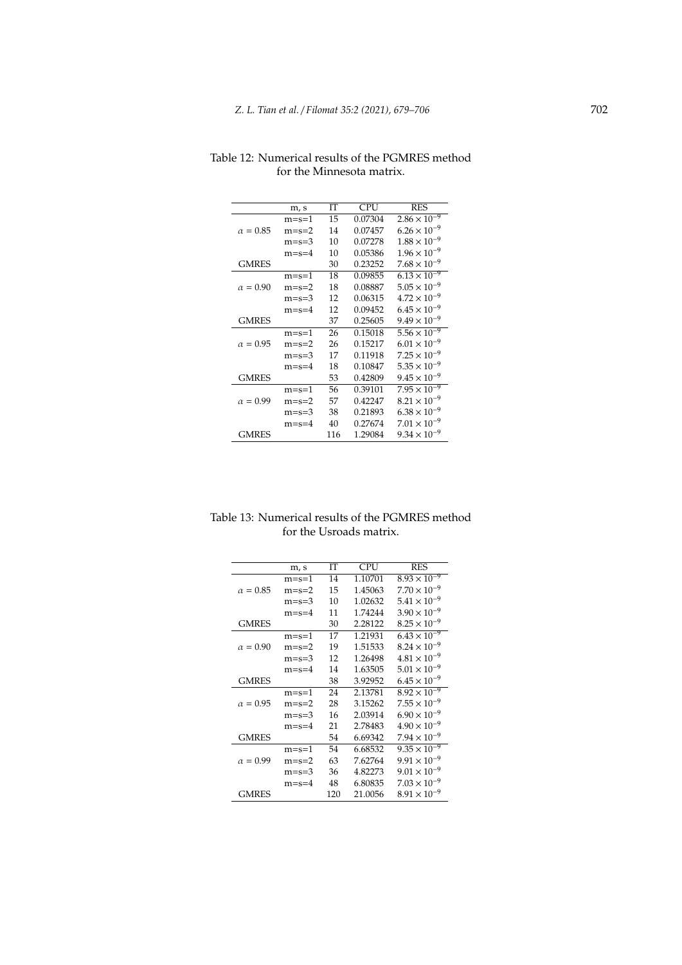|                 | m, s    | IТ  | <b>CPU</b> | <b>RES</b>            |
|-----------------|---------|-----|------------|-----------------------|
|                 | $m=s=1$ | 15  | 0.07304    | $2.86 \times 10^{-9}$ |
| $\alpha = 0.85$ | $m=s=2$ | 14  | 0.07457    | $6.26 \times 10^{-9}$ |
|                 | $m=s=3$ | 10  | 0.07278    | $1.88 \times 10^{-9}$ |
|                 | $m=s=4$ | 10  | 0.05386    | $1.96 \times 10^{-9}$ |
| <b>GMRES</b>    |         | 30  | 0.23252    | $7.68 \times 10^{-9}$ |
|                 | $m=s=1$ | 18  | 0.09855    | $6.13 \times 10^{-9}$ |
| $\alpha = 0.90$ | $m=s=2$ | 18  | 0.08887    | $5.05 \times 10^{-9}$ |
|                 | $m=s=3$ | 12  | 0.06315    | $4.72 \times 10^{-9}$ |
|                 | $m=s=4$ | 12  | 0.09452    | $6.45 \times 10^{-9}$ |
| <b>GMRES</b>    |         | 37  | 0.25605    | $9.49 \times 10^{-9}$ |
|                 | $m=s=1$ | 26  | 0.15018    | $5.56 \times 10^{-9}$ |
| $\alpha = 0.95$ | $m=s=2$ | 26  | 0.15217    | $6.01 \times 10^{-9}$ |
|                 | $m=s=3$ | 17  | 0.11918    | $7.25 \times 10^{-9}$ |
|                 | $m=s=4$ | 18  | 0.10847    | $5.35 \times 10^{-9}$ |
| <b>GMRES</b>    |         | 53  | 0.42809    | $9.45 \times 10^{-9}$ |
|                 | $m=s=1$ | 56  | 0.39101    | $7.95 \times 10^{-9}$ |
| $\alpha = 0.99$ | $m=s=2$ | 57  | 0.42247    | $8.21 \times 10^{-9}$ |
|                 | $m=s=3$ | 38  | 0.21893    | $6.38 \times 10^{-9}$ |
|                 | $m=s=4$ | 40  | 0.27674    | $7.01 \times 10^{-9}$ |
| GMRES           |         | 116 | 1.29084    | $9.34 \times 10^{-9}$ |

Table 12: Numerical results of the PGMRES method for the Minnesota matrix.

| Table 13: Numerical results of the PGMRES method |  |
|--------------------------------------------------|--|
| for the Usroads matrix.                          |  |

|                 | m, s    | ľТ  | <b>CPU</b> | <b>RES</b>                       |
|-----------------|---------|-----|------------|----------------------------------|
|                 | $m=s=1$ | 14  | 1.10701    | $8.93 \times 10^{-9}$            |
| $\alpha = 0.85$ | $m=s=2$ | 15  | 1.45063    | $7.70 \times 10^{-9}$            |
|                 | $m=s=3$ | 10  | 1.02632    | $5.41 \times 10^{-9}$            |
|                 | $m=s=4$ | 11  | 1.74244    | $3.90 \times 10^{-9}$            |
| <b>GMRES</b>    |         | 30  | 2.28122    | $8.25 \times 10^{-9}$            |
|                 | $m=s=1$ | 17  | 1.21931    | $6.\overline{43 \times 10^{-9}}$ |
| $\alpha = 0.90$ | $m=s=2$ | 19  | 1.51533    | $8.24 \times 10^{-9}$            |
|                 | $m=s=3$ | 12  | 1.26498    | $4.81 \times 10^{-9}$            |
|                 | $m=s=4$ | 14  | 1.63505    | $5.01 \times 10^{-9}$            |
| <b>GMRES</b>    |         | 38  | 3.92952    | $6.45 \times 10^{-9}$            |
|                 | $m=s=1$ | 24  | 2.13781    | $8.\overline{92 \times 10^{-9}}$ |
| $\alpha = 0.95$ | $m=s=2$ | 28  | 3.15262    | $7.55 \times 10^{-9}$            |
|                 | $m=s=3$ | 16  | 2.03914    | $6.90 \times 10^{-9}$            |
|                 | $m=s=4$ | 21  | 2.78483    | $4.90 \times 10^{-9}$            |
| <b>GMRES</b>    |         | 54  | 6.69342    | $7.94 \times 10^{-9}$            |
|                 | $m=s=1$ | 54  | 6.68532    | $9.35 \times 10^{-9}$            |
| $\alpha = 0.99$ | $m=s=2$ | 63  | 7.62764    | $9.91 \times 10^{-9}$            |
|                 | $m=s=3$ | 36  | 4.82273    | $9.01 \times 10^{-9}$            |
|                 | $m=s=4$ | 48  | 6.80835    | $7.03 \times 10^{-9}$            |
| <b>GMRES</b>    |         | 120 | 21.0056    | $8.91 \times 10^{-9}$            |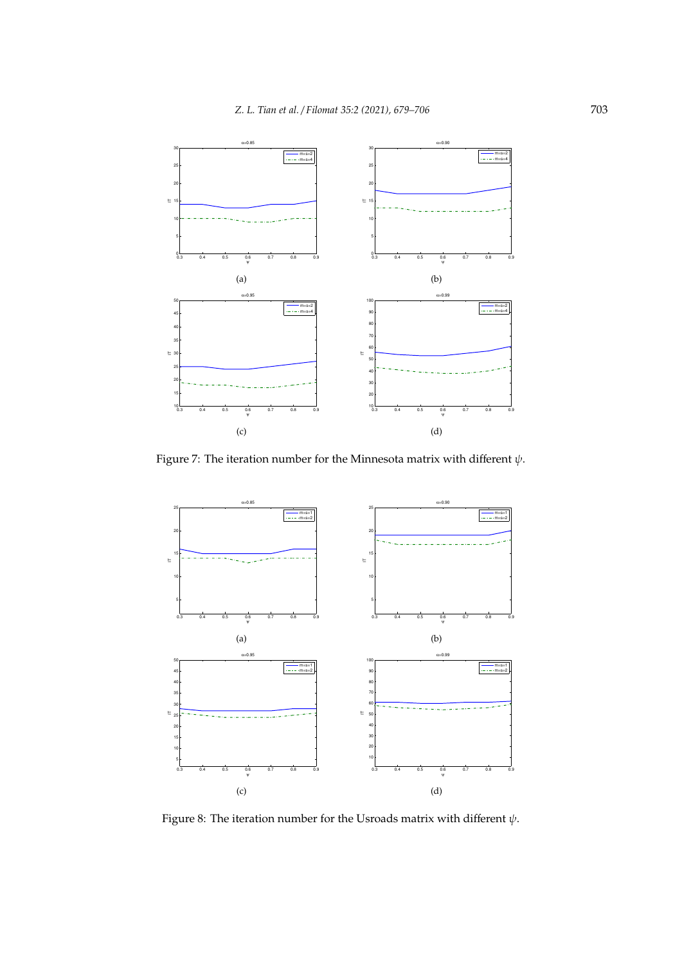

Figure 7: The iteration number for the Minnesota matrix with different  $\psi$ .



Figure 8: The iteration number for the Usroads matrix with different  $\psi$ .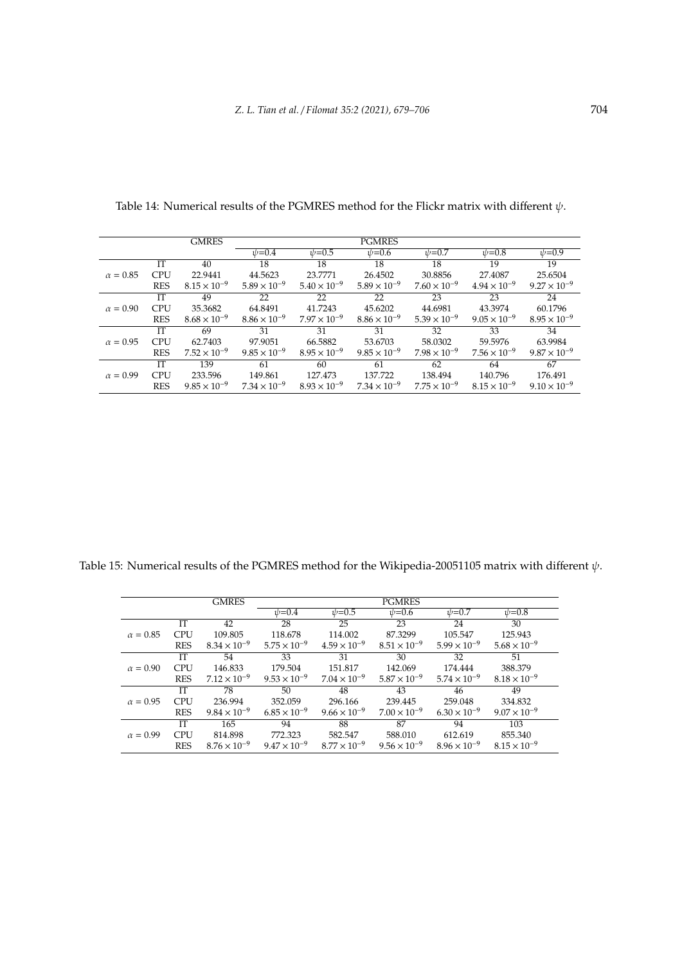|                 |            | <b>GMRES</b>          |                       |                       | <b>PGMRES</b>         |                       |                       |                       |
|-----------------|------------|-----------------------|-----------------------|-----------------------|-----------------------|-----------------------|-----------------------|-----------------------|
|                 |            |                       | $\psi = 0.4$          | $_{\psi=0.5}$         | $\psi = 0.6$          | $\psi = 0.7$          | $_{\psi=0.8}$         | $v = 0.9$             |
|                 | <b>IT</b>  | 40                    | 18                    | 18                    | 18                    | 18                    | 19                    | 19                    |
| $\alpha = 0.85$ | <b>CPU</b> | 22.9441               | 44.5623               | 23.7771               | 26.4502               | 30.8856               | 27.4087               | 25.6504               |
|                 | <b>RES</b> | $8.15 \times 10^{-9}$ | $5.89 \times 10^{-9}$ | $5.40 \times 10^{-9}$ | $5.89 \times 10^{-9}$ | $7.60 \times 10^{-9}$ | $4.94 \times 10^{-9}$ | $9.27 \times 10^{-9}$ |
|                 | IТ         | 49                    | 22                    | 22                    | 22                    | 23                    | 23                    | 24                    |
| $\alpha = 0.90$ | <b>CPU</b> | 35.3682               | 64.8491               | 41.7243               | 45.6202               | 44.6981               | 43.3974               | 60.1796               |
|                 | <b>RES</b> | $8.68 \times 10^{-9}$ | $8.86 \times 10^{-9}$ | $7.97 \times 10^{-9}$ | $8.86 \times 10^{-9}$ | $5.39 \times 10^{-9}$ | $9.05 \times 10^{-9}$ | $8.95 \times 10^{-9}$ |
|                 | IТ         | 69                    | 31                    | 31                    | 31                    | 32                    | 33                    | 34                    |
| $\alpha = 0.95$ | <b>CPU</b> | 62.7403               | 97.9051               | 66.5882               | 53.6703               | 58.0302               | 59.5976               | 63.9984               |
|                 | <b>RES</b> | $7.52 \times 10^{-9}$ | $9.85 \times 10^{-9}$ | $8.95 \times 10^{-9}$ | $9.85 \times 10^{-9}$ | $7.98 \times 10^{-9}$ | $7.56 \times 10^{-9}$ | $9.87 \times 10^{-9}$ |
|                 | <b>IT</b>  | 139                   | 61                    | 60                    | 61                    | 62                    | 64                    | 67                    |
| $\alpha = 0.99$ | <b>CPU</b> | 233.596               | 149.861               | 127.473               | 137.722               | 138.494               | 140.796               | 176.491               |
|                 | <b>RES</b> | $9.85 \times 10^{-9}$ | $7.34 \times 10^{-9}$ | $8.93 \times 10^{-9}$ | $7.34 \times 10^{-9}$ | $7.75 \times 10^{-9}$ | $8.15 \times 10^{-9}$ | $9.10 \times 10^{-9}$ |

Table 14: Numerical results of the PGMRES method for the Flickr matrix with different  $\psi$ .

Table 15: Numerical results of the PGMRES method for the Wikipedia-20051105 matrix with different  $\psi$ .

|                 |            | <b>GMRES</b>          | <b>PGMRES</b>         |                       |                       |                       |                       |  |
|-----------------|------------|-----------------------|-----------------------|-----------------------|-----------------------|-----------------------|-----------------------|--|
|                 |            |                       | $\psi = 0.4$          | $\psi = 0.5$          | $\psi = 0.6$          | $\psi = 0.7$          | $\psi = 0.8$          |  |
| $\alpha = 0.85$ | IТ         | 42                    | 28                    | 25                    | 23                    | 24                    | 30                    |  |
|                 | <b>CPU</b> | 109.805               | 118.678               | 114.002               | 87.3299               | 105.547               | 125.943               |  |
|                 | <b>RES</b> | $8.34 \times 10^{-9}$ | $5.75 \times 10^{-9}$ | $4.59 \times 10^{-9}$ | $8.51 \times 10^{-9}$ | $5.99 \times 10^{-9}$ | $5.68 \times 10^{-9}$ |  |
|                 | IT         | 54                    | 33                    | 31                    | 30                    | 32                    | 51                    |  |
| $\alpha = 0.90$ | <b>CPU</b> | 146.833               | 179.504               | 151.817               | 142.069               | 174.444               | 388.379               |  |
|                 | <b>RES</b> | $7.12 \times 10^{-9}$ | $9.53 \times 10^{-9}$ | $7.04 \times 10^{-9}$ | $5.87 \times 10^{-9}$ | $5.74 \times 10^{-9}$ | $8.18 \times 10^{-9}$ |  |
|                 | IТ         | 78                    | 50                    | 48                    | 43                    | 46                    | 49                    |  |
| $\alpha = 0.95$ | <b>CPU</b> | 236.994               | 352.059               | 296.166               | 239.445               | 259.048               | 334.832               |  |
|                 | <b>RES</b> | $9.84 \times 10^{-9}$ | $6.85 \times 10^{-9}$ | $9.66 \times 10^{-9}$ | $7.00 \times 10^{-9}$ | $6.30 \times 10^{-9}$ | $9.07 \times 10^{-9}$ |  |
|                 | IТ         | 165                   | 94                    | 88                    | 87                    | 94                    | 103                   |  |
| $\alpha = 0.99$ | <b>CPU</b> | 814.898               | 772.323               | 582.547               | 588.010               | 612.619               | 855.340               |  |
|                 | <b>RES</b> | $8.76 \times 10^{-9}$ | $9.47 \times 10^{-9}$ | $8.77 \times 10^{-9}$ | $9.56 \times 10^{-9}$ | $8.96 \times 10^{-9}$ | $8.15 \times 10^{-9}$ |  |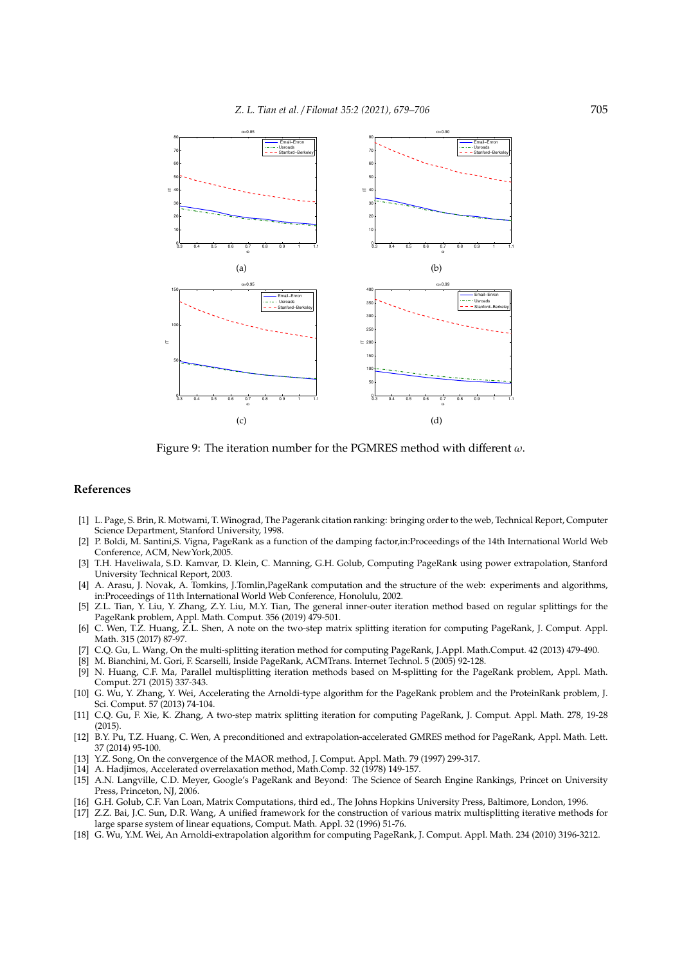

Figure 9: The iteration number for the PGMRES method with different  $\omega$ .

### **References**

- [1] L. Page, S. Brin, R. Motwami, T. Winograd, The Pagerank citation ranking: bringing order to the web, Technical Report, Computer Science Department, Stanford University, 1998.
- [2] P. Boldi, M. Santini,S. Vigna, PageRank as a function of the damping factor,in:Proceedings of the 14th International World Web Conference, ACM, NewYork,2005.
- [3] T.H. Haveliwala, S.D. Kamvar, D. Klein, C. Manning, G.H. Golub, Computing PageRank using power extrapolation, Stanford University Technical Report, 2003.
- [4] A. Arasu, J. Novak, A. Tomkins, J.Tomlin,PageRank computation and the structure of the web: experiments and algorithms, in:Proceedings of 11th International World Web Conference, Honolulu, 2002.
- [5] Z.L. Tian, Y. Liu, Y. Zhang, Z.Y. Liu, M.Y. Tian, The general inner-outer iteration method based on regular splittings for the PageRank problem, Appl. Math. Comput. 356 (2019) 479-501.
- [6] C. Wen, T.Z. Huang, Z.L. Shen, A note on the two-step matrix splitting iteration for computing PageRank, J. Comput. Appl. Math. 315 (2017) 87-97.
- [7] C.Q. Gu, L. Wang, On the multi-splitting iteration method for computing PageRank, J.Appl. Math.Comput. 42 (2013) 479-490.
- [8] M. Bianchini, M. Gori, F. Scarselli, Inside PageRank, ACMTrans. Internet Technol. 5 (2005) 92-128.
- [9] N. Huang, C.F. Ma, Parallel multisplitting iteration methods based on M-splitting for the PageRank problem, Appl. Math. Comput. 271 (2015) 337-343.
- [10] G. Wu, Y. Zhang, Y. Wei, Accelerating the Arnoldi-type algorithm for the PageRank problem and the ProteinRank problem, J. Sci. Comput. 57 (2013) 74-104.
- [11] C.Q. Gu, F. Xie, K. Zhang, A two-step matrix splitting iteration for computing PageRank, J. Comput. Appl. Math. 278, 19-28 (2015).
- [12] B.Y. Pu, T.Z. Huang, C. Wen, A preconditioned and extrapolation-accelerated GMRES method for PageRank, Appl. Math. Lett. 37 (2014) 95-100.
- [13] Y.Z. Song, On the convergence of the MAOR method, J. Comput. Appl. Math. 79 (1997) 299-317.
- [14] A. Hadjimos, Accelerated overrelaxation method, Math.Comp. 32 (1978) 149-157.
- [15] A.N. Langville, C.D. Meyer, Google's PageRank and Beyond: The Science of Search Engine Rankings, Princet on University Press, Princeton, NJ, 2006.
- [16] G.H. Golub, C.F. Van Loan, Matrix Computations, third ed., The Johns Hopkins University Press, Baltimore, London, 1996.
- [17] Z.Z. Bai, J.C. Sun, D.R. Wang, A unified framework for the construction of various matrix multisplitting iterative methods for large sparse system of linear equations, Comput. Math. Appl. 32 (1996) 51-76.
- [18] G. Wu, Y.M. Wei, An Arnoldi-extrapolation algorithm for computing PageRank, J. Comput. Appl. Math. 234 (2010) 3196-3212.